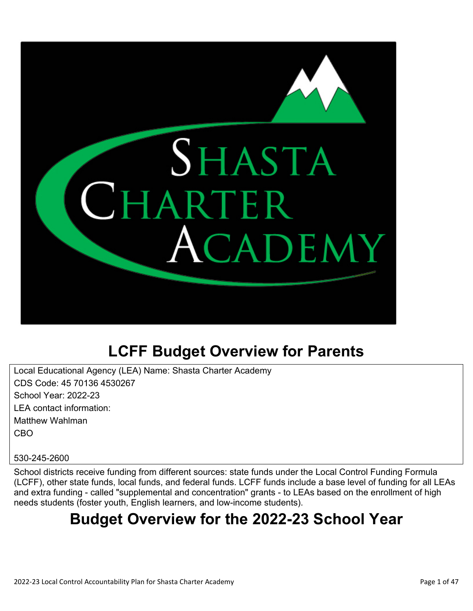

# **LCFF Budget Overview for Parents**

Local Educational Agency (LEA) Name: Shasta Charter Academy CDS Code: 45 70136 4530267 School Year: 2022-23 LEA contact information: Matthew Wahlman CBO

#### 530-245-2600

School districts receive funding from different sources: state funds under the Local Control Funding Formula (LCFF), other state funds, local funds, and federal funds. LCFF funds include a base level of funding for all LEAs and extra funding - called "supplemental and concentration" grants - to LEAs based on the enrollment of high needs students (foster youth, English learners, and low-income students).

# **Budget Overview for the 2022-23 School Year**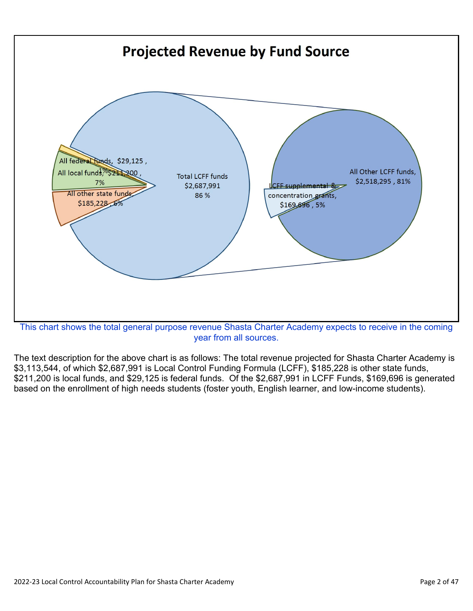

year from all sources.

The text description for the above chart is as follows: The total revenue projected for Shasta Charter Academy is \$3,113,544, of which \$2,687,991 is Local Control Funding Formula (LCFF), \$185,228 is other state funds, \$211,200 is local funds, and \$29,125 is federal funds. Of the \$2,687,991 in LCFF Funds, \$169,696 is generated based on the enrollment of high needs students (foster youth, English learner, and low-income students).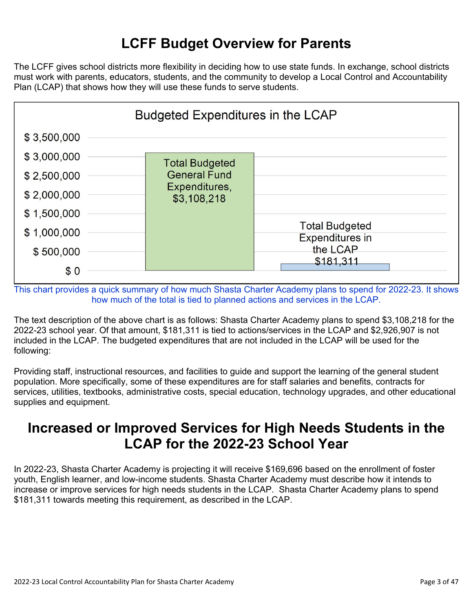## **LCFF Budget Overview for Parents**

The LCFF gives school districts more flexibility in deciding how to use state funds. In exchange, school districts must work with parents, educators, students, and the community to develop a Local Control and Accountability Plan (LCAP) that shows how they will use these funds to serve students.



This chart provides a quick summary of how much Shasta Charter Academy plans to spend for 2022-23. It shows how much of the total is tied to planned actions and services in the LCAP.

The text description of the above chart is as follows: Shasta Charter Academy plans to spend \$3,108,218 for the 2022-23 school year. Of that amount, \$181,311 is tied to actions/services in the LCAP and \$2,926,907 is not included in the LCAP. The budgeted expenditures that are not included in the LCAP will be used for the following:

Providing staff, instructional resources, and facilities to guide and support the learning of the general student population. More specifically, some of these expenditures are for staff salaries and benefits, contracts for services, utilities, textbooks, administrative costs, special education, technology upgrades, and other educational supplies and equipment.

### **Increased or Improved Services for High Needs Students in the LCAP for the 2022-23 School Year**

In 2022-23, Shasta Charter Academy is projecting it will receive \$169,696 based on the enrollment of foster youth, English learner, and low-income students. Shasta Charter Academy must describe how it intends to increase or improve services for high needs students in the LCAP. Shasta Charter Academy plans to spend \$181,311 towards meeting this requirement, as described in the LCAP.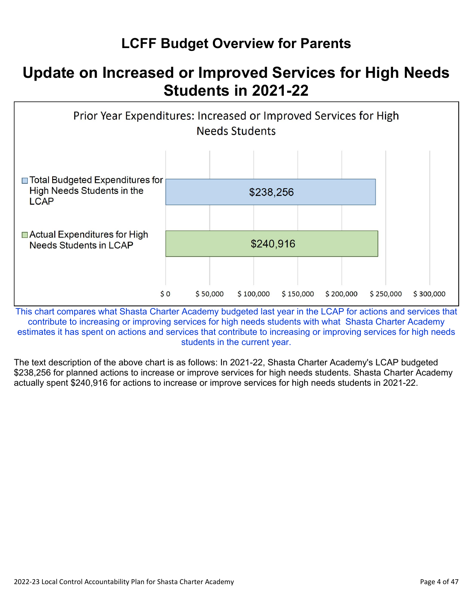## **LCFF Budget Overview for Parents**

# **Update on Increased or Improved Services for High Needs Students in 2021-22**



This chart compares what Shasta Charter Academy budgeted last year in the LCAP for actions and services that contribute to increasing or improving services for high needs students with what Shasta Charter Academy estimates it has spent on actions and services that contribute to increasing or improving services for high needs students in the current year.

The text description of the above chart is as follows: In 2021-22, Shasta Charter Academy's LCAP budgeted \$238,256 for planned actions to increase or improve services for high needs students. Shasta Charter Academy actually spent \$240,916 for actions to increase or improve services for high needs students in 2021-22.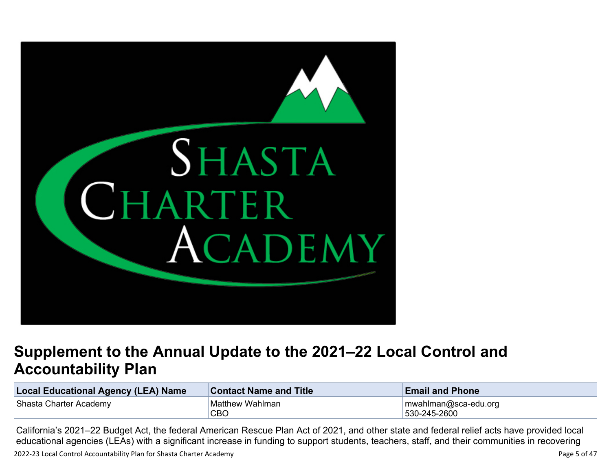

# **Supplement to the Annual Update to the 2021–22 Local Control and Accountability Plan**

| <b>Local Educational Agency (LEA) Name</b> | <b>Contact Name and Title</b> | <b>Email and Phone</b>               |  |
|--------------------------------------------|-------------------------------|--------------------------------------|--|
| Shasta Charter Academy                     | Matthew Wahlman<br>CBO        | mwahlman@sca-edu.org<br>530-245-2600 |  |

California's 2021–22 Budget Act, the federal American Rescue Plan Act of 2021, and other state and federal relief acts have provided local educational agencies (LEAs) with a significant increase in funding to support students, teachers, staff, and their communities in recovering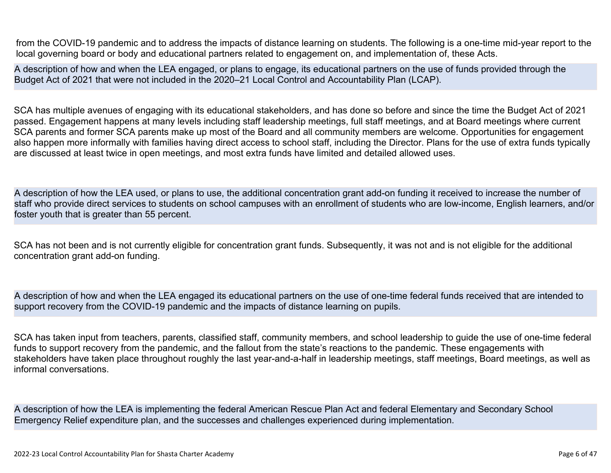from the COVID-19 pandemic and to address the impacts of distance learning on students. The following is a one-time mid-year report to the local governing board or body and educational partners related to engagement on, and implementation of, these Acts.

A description of how and when the LEA engaged, or plans to engage, its educational partners on the use of funds provided through the Budget Act of 2021 that were not included in the 2020–21 Local Control and Accountability Plan (LCAP).

SCA has multiple avenues of engaging with its educational stakeholders, and has done so before and since the time the Budget Act of 2021 passed. Engagement happens at many levels including staff leadership meetings, full staff meetings, and at Board meetings where current SCA parents and former SCA parents make up most of the Board and all community members are welcome. Opportunities for engagement also happen more informally with families having direct access to school staff, including the Director. Plans for the use of extra funds typically are discussed at least twice in open meetings, and most extra funds have limited and detailed allowed uses.

A description of how the LEA used, or plans to use, the additional concentration grant add-on funding it received to increase the number of staff who provide direct services to students on school campuses with an enrollment of students who are low-income, English learners, and/or foster youth that is greater than 55 percent.

SCA has not been and is not currently eligible for concentration grant funds. Subsequently, it was not and is not eligible for the additional concentration grant add-on funding.

A description of how and when the LEA engaged its educational partners on the use of one-time federal funds received that are intended to support recovery from the COVID-19 pandemic and the impacts of distance learning on pupils.

SCA has taken input from teachers, parents, classified staff, community members, and school leadership to guide the use of one-time federal funds to support recovery from the pandemic, and the fallout from the state's reactions to the pandemic. These engagements with stakeholders have taken place throughout roughly the last year-and-a-half in leadership meetings, staff meetings, Board meetings, as well as informal conversations.

A description of how the LEA is implementing the federal American Rescue Plan Act and federal Elementary and Secondary School Emergency Relief expenditure plan, and the successes and challenges experienced during implementation.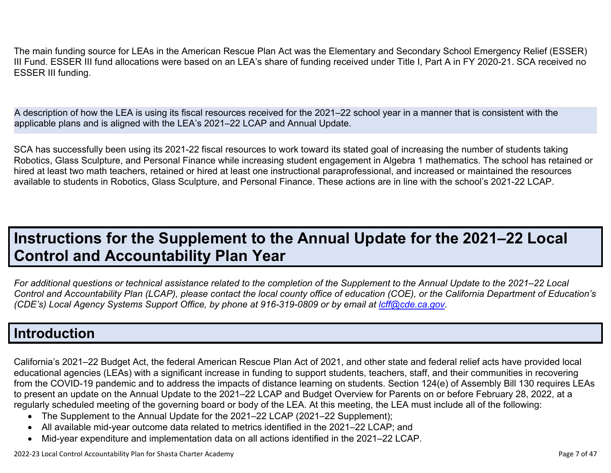The main funding source for LEAs in the American Rescue Plan Act was the Elementary and Secondary School Emergency Relief (ESSER) III Fund. ESSER III fund allocations were based on an LEA's share of funding received under Title I, Part A in FY 2020-21. SCA received no ESSER III funding.

A description of how the LEA is using its fiscal resources received for the 2021–22 school year in a manner that is consistent with the applicable plans and is aligned with the LEA's 2021–22 LCAP and Annual Update.

SCA has successfully been using its 2021-22 fiscal resources to work toward its stated goal of increasing the number of students taking Robotics, Glass Sculpture, and Personal Finance while increasing student engagement in Algebra 1 mathematics. The school has retained or hired at least two math teachers, retained or hired at least one instructional paraprofessional, and increased or maintained the resources available to students in Robotics, Glass Sculpture, and Personal Finance. These actions are in line with the school's 2021-22 LCAP.

# **Instructions for the Supplement to the Annual Update for the 2021–22 Local Control and Accountability Plan Year**

*For additional questions or technical assistance related to the completion of the Supplement to the Annual Update to the 2021–22 Local Control and Accountability Plan (LCAP), please contact the local county office of education (COE), or the California Department of Education's (CDE's)* Local Agency Systems Support Office, by phone at 916-319-0809 or by email at *[lcff@cde.ca.gov](mailto:lcff@cde.ca.gov)*.

### **Introduction**

California's 2021–22 Budget Act, the federal American Rescue Plan Act of 2021, and other state and federal relief acts have provided local educational agencies (LEAs) with a significant increase in funding to support students, teachers, staff, and their communities in recovering from the COVID-19 pandemic and to address the impacts of distance learning on students. Section 124(e) of Assembly Bill 130 requires LEAs to present an update on the Annual Update to the 2021–22 LCAP and Budget Overview for Parents on or before February 28, 2022, at a regularly scheduled meeting of the governing board or body of the LEA. At this meeting, the LEA must include all of the following:

- The Supplement to the Annual Update for the 2021–22 LCAP (2021–22 Supplement);
- All available mid-year outcome data related to metrics identified in the 2021–22 LCAP; and
- Mid-year expenditure and implementation data on all actions identified in the 2021–22 LCAP.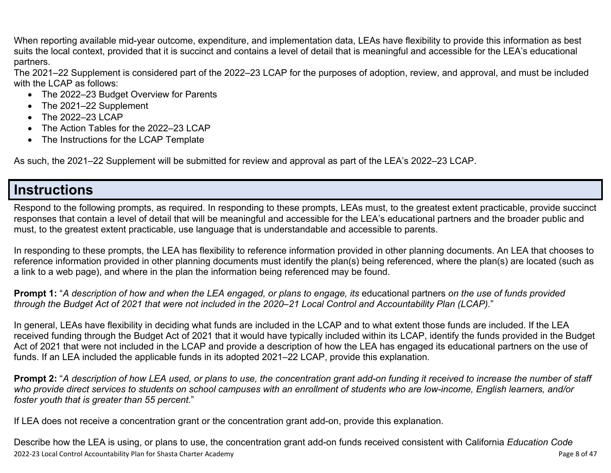When reporting available mid-year outcome, expenditure, and implementation data, LEAs have flexibility to provide this information as best suits the local context, provided that it is succinct and contains a level of detail that is meaningful and accessible for the LEA's educational partners.

The 2021–22 Supplement is considered part of the 2022–23 LCAP for the purposes of adoption, review, and approval, and must be included with the LCAP as follows:

- The 2022–23 Budget Overview for Parents
- The 2021–22 Supplement
- The 2022-23 LCAP
- The Action Tables for the 2022–23 LCAP
- The Instructions for the LCAP Template

As such, the 2021–22 Supplement will be submitted for review and approval as part of the LEA's 2022–23 LCAP.

### **Instructions**

Respond to the following prompts, as required. In responding to these prompts, LEAs must, to the greatest extent practicable, provide succinct responses that contain a level of detail that will be meaningful and accessible for the LEA's educational partners and the broader public and must, to the greatest extent practicable, use language that is understandable and accessible to parents.

In responding to these prompts, the LEA has flexibility to reference information provided in other planning documents. An LEA that chooses to reference information provided in other planning documents must identify the plan(s) being referenced, where the plan(s) are located (such as a link to a web page), and where in the plan the information being referenced may be found.

**Prompt 1:** "*A description of how and when the LEA engaged, or plans to engage, its* educational partners *on the use of funds provided through the Budget Act of 2021 that were not included in the 2020–21 Local Control and Accountability Plan (LCAP).*"

In general, LEAs have flexibility in deciding what funds are included in the LCAP and to what extent those funds are included. If the LEA received funding through the Budget Act of 2021 that it would have typically included within its LCAP, identify the funds provided in the Budget Act of 2021 that were not included in the LCAP and provide a description of how the LEA has engaged its educational partners on the use of funds. If an LEA included the applicable funds in its adopted 2021–22 LCAP, provide this explanation.

**Prompt 2:** "*A description of how LEA used, or plans to use, the concentration grant add-on funding it received to increase the number of staff who provide direct services to students on school campuses with an enrollment of students who are low-income, English learners, and/or foster youth that is greater than 55 percent.*"

If LEA does not receive a concentration grant or the concentration grant add-on, provide this explanation.

2022-23 Local Control Accountability Plan for Shasta Charter Academy **Page 8 of 47** Page 8 of 47 Describe how the LEA is using, or plans to use, the concentration grant add-on funds received consistent with California *Education Code*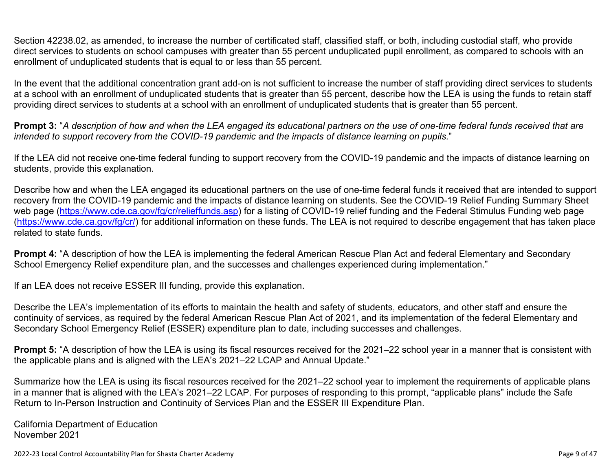Section 42238.02, as amended, to increase the number of certificated staff, classified staff, or both, including custodial staff, who provide direct services to students on school campuses with greater than 55 percent unduplicated pupil enrollment, as compared to schools with an enrollment of unduplicated students that is equal to or less than 55 percent.

In the event that the additional concentration grant add-on is not sufficient to increase the number of staff providing direct services to students at a school with an enrollment of unduplicated students that is greater than 55 percent, describe how the LEA is using the funds to retain staff providing direct services to students at a school with an enrollment of unduplicated students that is greater than 55 percent.

**Prompt 3:** "*A description of how and when the LEA engaged its educational partners on the use of one-time federal funds received that are intended to support recovery from the COVID-19 pandemic and the impacts of distance learning on pupils.*"

If the LEA did not receive one-time federal funding to support recovery from the COVID-19 pandemic and the impacts of distance learning on students, provide this explanation.

Describe how and when the LEA engaged its educational partners on the use of one-time federal funds it received that are intended to support recovery from the COVID-19 pandemic and the impacts of distance learning on students. See the COVID-19 Relief Funding Summary Sheet web page [\(https://www.cde.ca.gov/fg/cr/relieffunds.asp\)](https://www.cde.ca.gov/fg/cr/relieffunds.asp) for a listing of COVID-19 relief funding and the Federal Stimulus Funding web page (<https://www.cde.ca.gov/fg/cr/>) for additional information on these funds. The LEA is not required to describe engagement that has taken place related to state funds.

**Prompt 4:** "A description of how the LEA is implementing the federal American Rescue Plan Act and federal Elementary and Secondary School Emergency Relief expenditure plan, and the successes and challenges experienced during implementation."

If an LEA does not receive ESSER III funding, provide this explanation.

Describe the LEA's implementation of its efforts to maintain the health and safety of students, educators, and other staff and ensure the continuity of services, as required by the federal American Rescue Plan Act of 2021, and its implementation of the federal Elementary and Secondary School Emergency Relief (ESSER) expenditure plan to date, including successes and challenges.

**Prompt 5:** "A description of how the LEA is using its fiscal resources received for the 2021–22 school year in a manner that is consistent with the applicable plans and is aligned with the LEA's 2021–22 LCAP and Annual Update."

Summarize how the LEA is using its fiscal resources received for the 2021–22 school year to implement the requirements of applicable plans in a manner that is aligned with the LEA's 2021–22 LCAP. For purposes of responding to this prompt, "applicable plans" include the Safe Return to In-Person Instruction and Continuity of Services Plan and the ESSER III Expenditure Plan.

California Department of Education November 2021

2022-23 Local Control Accountability Plan for Shasta Charter Academy **Page 9** of 47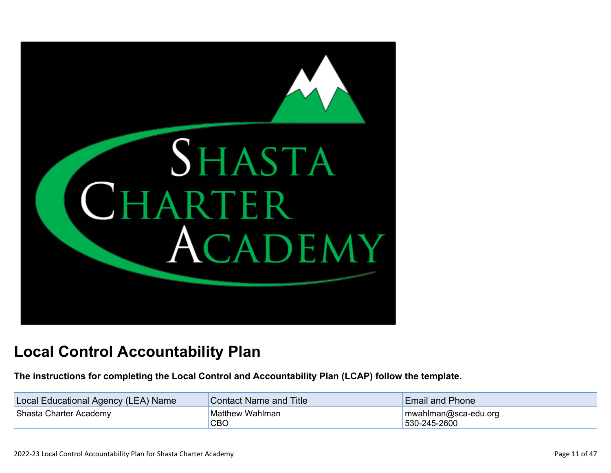

# **Local Control Accountability Plan**

**The instructions for completing the Local Control and Accountability Plan (LCAP) follow the template.**

| Local Educational Agency (LEA) Name | <b>Contact Name and Title</b> | <b>Email and Phone</b>                        |  |
|-------------------------------------|-------------------------------|-----------------------------------------------|--|
| Shasta Charter Academy              | <b>Matthew Wahlman</b><br>CBC | $\lceil$ mwahlman@sca-edu.org<br>530-245-2600 |  |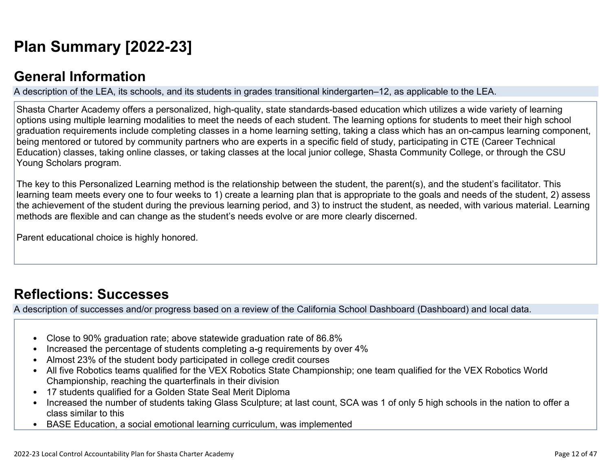# **[Plan Summary \[2022-23\]](http://www.doc-tracking.com/screenshots/22LCAP/Instructions/22LCAPInstructions.htm#PlanSummary)**

### **[General Information](http://www.doc-tracking.com/screenshots/22LCAP/Instructions/22LCAPInstructions.htm#generalinformation)**

A description of the LEA, its schools, and its students in grades transitional kindergarten–12, as applicable to the LEA.

Shasta Charter Academy offers a personalized, high-quality, state standards-based education which utilizes a wide variety of learning options using multiple learning modalities to meet the needs of each student. The learning options for students to meet their high school graduation requirements include completing classes in a home learning setting, taking a class which has an on-campus learning component, being mentored or tutored by community partners who are experts in a specific field of study, participating in CTE (Career Technical Education) classes, taking online classes, or taking classes at the local junior college, Shasta Community College, or through the CSU Young Scholars program.

The key to this Personalized Learning method is the relationship between the student, the parent(s), and the student's facilitator. This learning team meets every one to four weeks to 1) create a learning plan that is appropriate to the goals and needs of the student, 2) assess the achievement of the student during the previous learning period, and 3) to instruct the student, as needed, with various material. Learning methods are flexible and can change as the student's needs evolve or are more clearly discerned.

Parent educational choice is highly honored.

## **[Reflections: Successes](http://www.doc-tracking.com/screenshots/22LCAP/Instructions/22LCAPInstructions.htm#ReflectionsSuccesses)**

A description of successes and/or progress based on a review of the California School Dashboard (Dashboard) and local data.

- Close to 90% graduation rate; above statewide graduation rate of 86.8%
- Increased the percentage of students completing a-g requirements by over 4%
- Almost 23% of the student body participated in college credit courses
- All five Robotics teams qualified for the VEX Robotics State Championship; one team qualified for the VEX Robotics World Championship, reaching the quarterfinals in their division
- 17 students qualified for a Golden State Seal Merit Diploma
- Increased the number of students taking Glass Sculpture; at last count, SCA was 1 of only 5 high schools in the nation to offer a class similar to this
- BASE Education, a social emotional learning curriculum, was implemented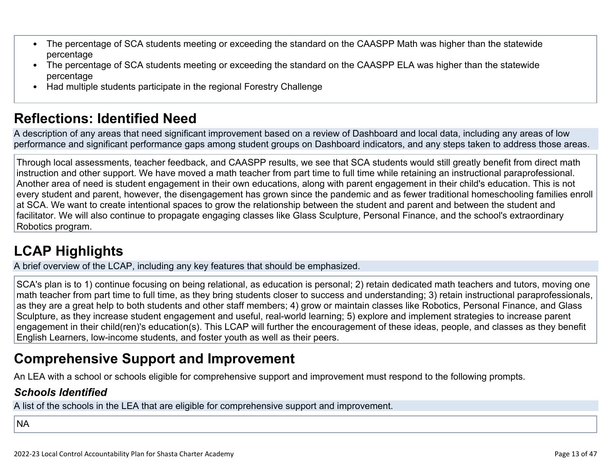- The percentage of SCA students meeting or exceeding the standard on the CAASPP Math was higher than the statewide percentage
- The percentage of SCA students meeting or exceeding the standard on the CAASPP ELA was higher than the statewide percentage
- Had multiple students participate in the regional Forestry Challenge

## **[Reflections: Identified Need](http://www.doc-tracking.com/screenshots/22LCAP/Instructions/22LCAPInstructions.htm#ReflectionsIdentifiedNeed)**

A description of any areas that need significant improvement based on a review of Dashboard and local data, including any areas of low performance and significant performance gaps among student groups on Dashboard indicators, and any steps taken to address those areas.

Through local assessments, teacher feedback, and CAASPP results, we see that SCA students would still greatly benefit from direct math instruction and other support. We have moved a math teacher from part time to full time while retaining an instructional paraprofessional. Another area of need is student engagement in their own educations, along with parent engagement in their child's education. This is not every student and parent, however, the disengagement has grown since the pandemic and as fewer traditional homeschooling families enroll at SCA. We want to create intentional spaces to grow the relationship between the student and parent and between the student and facilitator. We will also continue to propagate engaging classes like Glass Sculpture, Personal Finance, and the school's extraordinary Robotics program.

# **[LCAP Highlights](http://www.doc-tracking.com/screenshots/22LCAP/Instructions/22LCAPInstructions.htm#LCAPHighlights)**

A brief overview of the LCAP, including any key features that should be emphasized.

SCA's plan is to 1) continue focusing on being relational, as education is personal; 2) retain dedicated math teachers and tutors, moving one math teacher from part time to full time, as they bring students closer to success and understanding; 3) retain instructional paraprofessionals, as they are a great help to both students and other staff members; 4) grow or maintain classes like Robotics, Personal Finance, and Glass Sculpture, as they increase student engagement and useful, real-world learning; 5) explore and implement strategies to increase parent engagement in their child(ren)'s education(s). This LCAP will further the encouragement of these ideas, people, and classes as they benefit English Learners, low-income students, and foster youth as well as their peers.

### **Comprehensive Support and Improvement**

An LEA with a school or schools eligible for comprehensive support and improvement must respond to the following prompts.

### *[Schools Identified](http://www.doc-tracking.com/screenshots/22LCAP/Instructions/22LCAPInstructions.htm#SchoolsIdentified)*

A list of the schools in the LEA that are eligible for comprehensive support and improvement.

### NA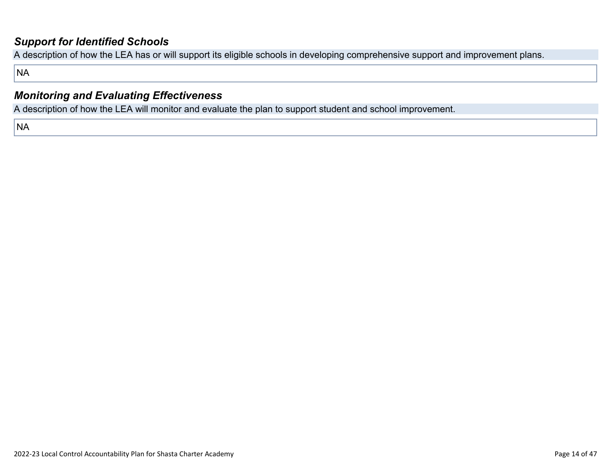### *[Support for Identified Schools](http://www.doc-tracking.com/screenshots/22LCAP/Instructions/22LCAPInstructions.htm#SupportforIdentifiedSchools)*

A description of how the LEA has or will support its eligible schools in developing comprehensive support and improvement plans.

NA

### *[Monitoring and Evaluating Effectiveness](http://www.doc-tracking.com/screenshots/22LCAP/Instructions/22LCAPInstructions.htm#MonitoringandEvaluatingEffectiveness)*

A description of how the LEA will monitor and evaluate the plan to support student and school improvement.

NA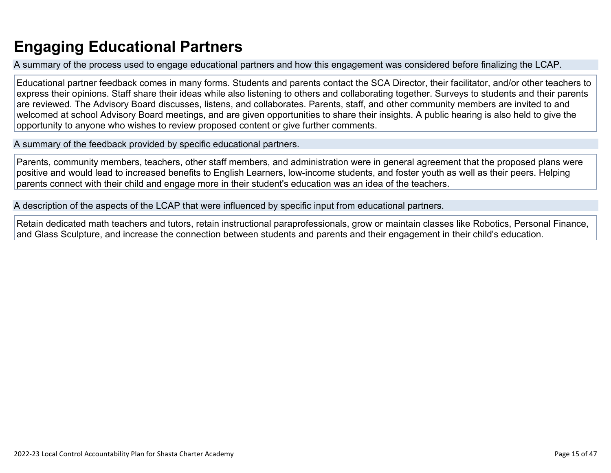# **Engaging Educational Partners**

A summary of the process used to engage educational partners and how this engagement was considered before finalizing the LCAP.

Educational partner feedback comes in many forms. Students and parents contact the SCA Director, their facilitator, and/or other teachers to express their opinions. Staff share their ideas while also listening to others and collaborating together. Surveys to students and their parents are reviewed. The Advisory Board discusses, listens, and collaborates. Parents, staff, and other community members are invited to and welcomed at school Advisory Board meetings, and are given opportunities to share their insights. A public hearing is also held to give the opportunity to anyone who wishes to review proposed content or give further comments.

A summary of the feedback provided by specific educational partners.

Parents, community members, teachers, other staff members, and administration were in general agreement that the proposed plans were positive and would lead to increased benefits to English Learners, low-income students, and foster youth as well as their peers. Helping parents connect with their child and engage more in their student's education was an idea of the teachers.

A description of the aspects of the LCAP that were influenced by specific input from educational partners.

Retain dedicated math teachers and tutors, retain instructional paraprofessionals, grow or maintain classes like Robotics, Personal Finance, and Glass Sculpture, and increase the connection between students and parents and their engagement in their child's education.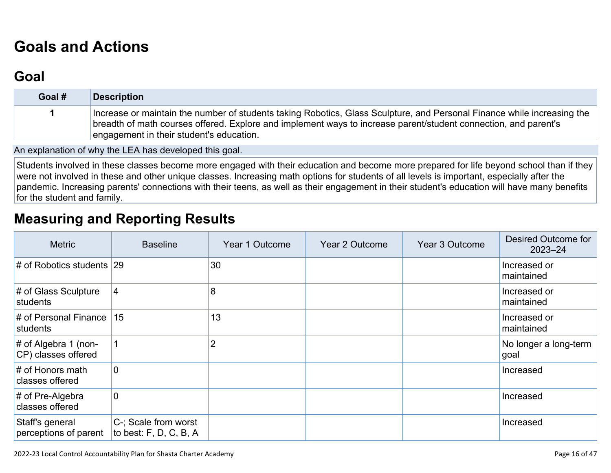# **[Goals and Actions](http://www.doc-tracking.com/screenshots/22LCAP/Instructions/22LCAPInstructions.htm#GoalsandActions)**

## **[Goal](http://www.doc-tracking.com/screenshots/22LCAP/Instructions/22LCAPInstructions.htm#goalDescription)**

| Goal # | <b>Description</b>                                                                                                                                                                                                                                                                     |
|--------|----------------------------------------------------------------------------------------------------------------------------------------------------------------------------------------------------------------------------------------------------------------------------------------|
|        | Increase or maintain the number of students taking Robotics, Glass Sculpture, and Personal Finance while increasing the<br>breadth of math courses offered. Explore and implement ways to increase parent/student connection, and parent's<br>engagement in their student's education. |

An explanation of why the LEA has developed this goal.

Students involved in these classes become more engaged with their education and become more prepared for life beyond school than if they were not involved in these and other unique classes. Increasing math options for students of all levels is important, especially after the pandemic. Increasing parents' connections with their teens, as well as their engagement in their student's education will have many benefits for the student and family.

## **[Measuring and Reporting Results](http://www.doc-tracking.com/screenshots/22LCAP/Instructions/22LCAPInstructions.htm#MeasuringandReportingResults)**

| <b>Metric</b>                                  | <b>Baseline</b>                                  | Year 1 Outcome | Year 2 Outcome | Year 3 Outcome | Desired Outcome for<br>$2023 - 24$ |
|------------------------------------------------|--------------------------------------------------|----------------|----------------|----------------|------------------------------------|
| $\#$ of Robotics students 29                   |                                                  | 30             |                |                | Increased or<br>maintained         |
| # of Glass Sculpture<br>students               | 4                                                | 8              |                |                | Increased or<br>maintained         |
| # of Personal Finance<br>students              | 15                                               | 13             |                |                | Increased or<br>maintained         |
| $\#$ of Algebra 1 (non-<br>CP) classes offered |                                                  | 2              |                |                | No longer a long-term<br>goal      |
| # of Honors math<br>classes offered            | 0                                                |                |                |                | Increased                          |
| $#$ of Pre-Algebra<br>classes offered          | 0                                                |                |                |                | Increased                          |
| Staff's general<br>perceptions of parent       | C-; Scale from worst<br>to best: $F, D, C, B, A$ |                |                |                | Increased                          |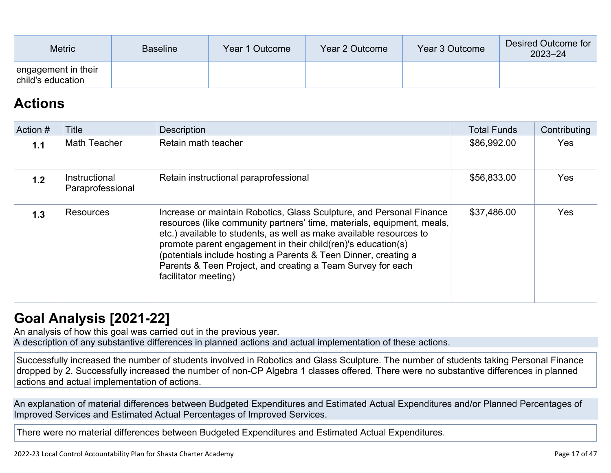| <b>Metric</b>                            | <b>Baseline</b> | Year 1 Outcome | Year 2 Outcome | Year 3 Outcome | Desired Outcome for<br>$2023 - 24$ |
|------------------------------------------|-----------------|----------------|----------------|----------------|------------------------------------|
| engagement in their<br>child's education |                 |                |                |                |                                    |

## **[Actions](http://www.doc-tracking.com/screenshots/22LCAP/Instructions/22LCAPInstructions.htm#actions)**

| Action # | Title                             | <b>Description</b>                                                                                                                                                                                                                                                                                                                                                                                                                                | <b>Total Funds</b> | Contributing |
|----------|-----------------------------------|---------------------------------------------------------------------------------------------------------------------------------------------------------------------------------------------------------------------------------------------------------------------------------------------------------------------------------------------------------------------------------------------------------------------------------------------------|--------------------|--------------|
| 1.1      | Math Teacher                      | Retain math teacher                                                                                                                                                                                                                                                                                                                                                                                                                               | \$86,992.00        | <b>Yes</b>   |
| 1.2      | Instructional<br>Paraprofessional | Retain instructional paraprofessional                                                                                                                                                                                                                                                                                                                                                                                                             | \$56,833.00        | <b>Yes</b>   |
| 1.3      | <b>Resources</b>                  | Increase or maintain Robotics, Glass Sculpture, and Personal Finance<br>resources (like community partners' time, materials, equipment, meals,<br>etc.) available to students, as well as make available resources to<br>promote parent engagement in their child (ren)'s education (s)<br>(potentials include hosting a Parents & Teen Dinner, creating a<br>Parents & Teen Project, and creating a Team Survey for each<br>facilitator meeting) | \$37,486.00        | <b>Yes</b>   |

## **[Goal Analysis \[2021-22\]](http://www.doc-tracking.com/screenshots/22LCAP/Instructions/22LCAPInstructions.htm#GoalAnalysis)**

An analysis of how this goal was carried out in the previous year.

A description of any substantive differences in planned actions and actual implementation of these actions.

Successfully increased the number of students involved in Robotics and Glass Sculpture. The number of students taking Personal Finance dropped by 2. Successfully increased the number of non-CP Algebra 1 classes offered. There were no substantive differences in planned actions and actual implementation of actions.

An explanation of material differences between Budgeted Expenditures and Estimated Actual Expenditures and/or Planned Percentages of Improved Services and Estimated Actual Percentages of Improved Services.

There were no material differences between Budgeted Expenditures and Estimated Actual Expenditures.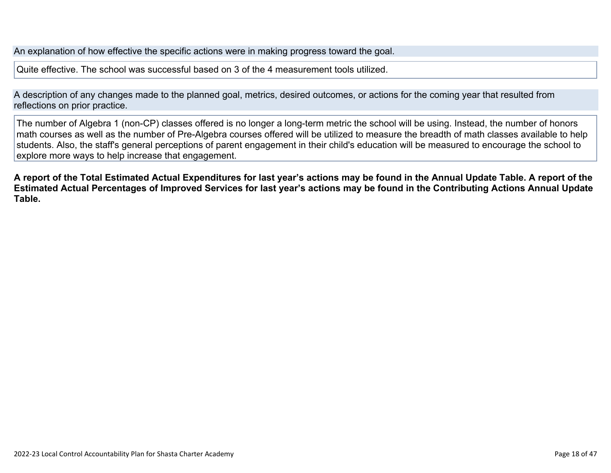An explanation of how effective the specific actions were in making progress toward the goal.

Quite effective. The school was successful based on 3 of the 4 measurement tools utilized.

A description of any changes made to the planned goal, metrics, desired outcomes, or actions for the coming year that resulted from reflections on prior practice.

The number of Algebra 1 (non-CP) classes offered is no longer a long-term metric the school will be using. Instead, the number of honors math courses as well as the number of Pre-Algebra courses offered will be utilized to measure the breadth of math classes available to help students. Also, the staff's general perceptions of parent engagement in their child's education will be measured to encourage the school to explore more ways to help increase that engagement.

**A report of the Total Estimated Actual Expenditures for last year's actions may be found in the Annual Update Table. A report of the Estimated Actual Percentages of Improved Services for last year's actions may be found in the Contributing Actions Annual Update Table.**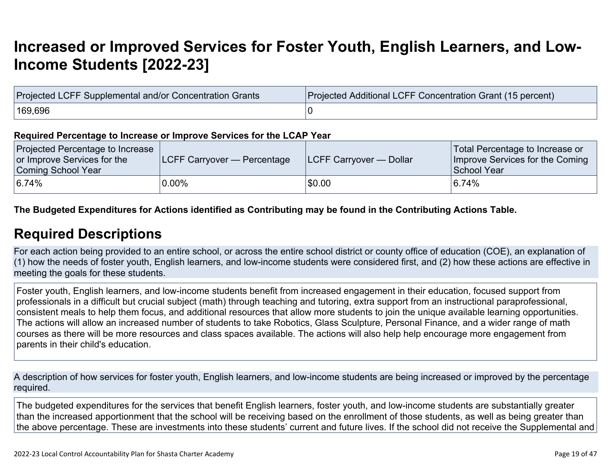# **[Increased or Improved Services for Foster Youth, English Learners, and Low-](http://www.doc-tracking.com/screenshots/22LCAP/Instructions/22LCAPInstructions.htm#IncreasedImprovedServices)[Income Students \[2022-23\]](http://www.doc-tracking.com/screenshots/22LCAP/Instructions/22LCAPInstructions.htm#IncreasedImprovedServices)**

| Projected LCFF Supplemental and/or Concentration Grants | Projected Additional LCFF Concentration Grant (15 percent) |
|---------------------------------------------------------|------------------------------------------------------------|
| 169,696∃                                                |                                                            |

#### **Required Percentage to Increase or Improve Services for the LCAP Year**

| Projected Percentage to Increase<br>or Improve Services for the<br>Coming School Year | <b>LCFF Carryover — Percentage</b> | <b>ILCFF Carryover — Dollar</b> | Total Percentage to Increase or<br>Improve Services for the Coming<br>School Year |
|---------------------------------------------------------------------------------------|------------------------------------|---------------------------------|-----------------------------------------------------------------------------------|
| 6.74%                                                                                 | $0.00\%$                           | \$0.00                          | 6.74%                                                                             |

### **The Budgeted Expenditures for Actions identified as Contributing may be found in the Contributing Actions Table.**

### **[Required Descriptions](http://www.doc-tracking.com/screenshots/22LCAP/Instructions/22LCAPInstructions.htm#RequiredDescriptions)**

For each action being provided to an entire school, or across the entire school district or county office of education (COE), an explanation of (1) how the needs of foster youth, English learners, and low-income students were considered first, and (2) how these actions are effective in meeting the goals for these students.

Foster youth, English learners, and low-income students benefit from increased engagement in their education, focused support from professionals in a difficult but crucial subject (math) through teaching and tutoring, extra support from an instructional paraprofessional, consistent meals to help them focus, and additional resources that allow more students to join the unique available learning opportunities. The actions will allow an increased number of students to take Robotics, Glass Sculpture, Personal Finance, and a wider range of math courses as there will be more resources and class spaces available. The actions will also help help encourage more engagement from parents in their child's education.

A description of how services for foster youth, English learners, and low-income students are being increased or improved by the percentage required.

The budgeted expenditures for the services that benefit English learners, foster youth, and low-income students are substantially greater than the increased apportionment that the school will be receiving based on the enrollment of those students, as well as being greater than the above percentage. These are investments into these students' current and future lives. If the school did not receive the Supplemental and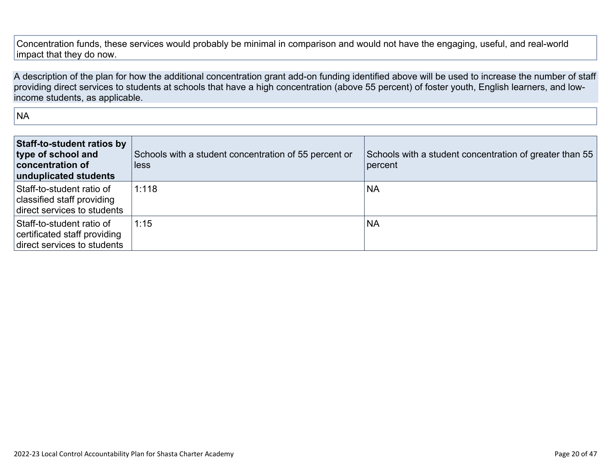Concentration funds, these services would probably be minimal in comparison and would not have the engaging, useful, and real-world impact that they do now.

A description of the plan for how the additional concentration grant add-on funding identified above will be used to increase the number of staff providing direct services to students at schools that have a high concentration (above 55 percent) of foster youth, English learners, and lowincome students, as applicable.

NA

| Staff-to-student ratios by<br>type of school and<br>concentration of<br>unduplicated students | Schools with a student concentration of 55 percent or<br>less | Schools with a student concentration of greater than 55<br>percent |
|-----------------------------------------------------------------------------------------------|---------------------------------------------------------------|--------------------------------------------------------------------|
| Staff-to-student ratio of<br>classified staff providing<br>direct services to students        | 1:118                                                         | <b>NA</b>                                                          |
| Staff-to-student ratio of<br>certificated staff providing<br>direct services to students      | 1:15                                                          | <b>NA</b>                                                          |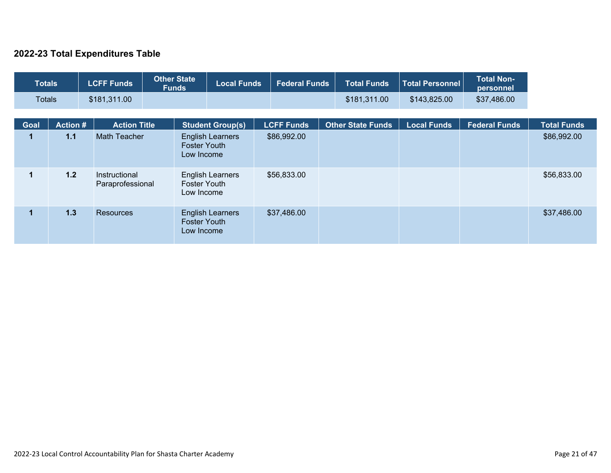### **2022-23 Total Expenditures Table**

| <b>Totals</b> |                 | <b>LCFF Funds</b>                 | <b>Other State</b><br><b>Funds</b> | <b>Local Funds</b>      | <b>Federal Funds</b> | <b>Total Funds</b>       | <b>Total Personnel</b> | <b>Total Non-</b><br>personnel |                    |
|---------------|-----------------|-----------------------------------|------------------------------------|-------------------------|----------------------|--------------------------|------------------------|--------------------------------|--------------------|
| <b>Totals</b> |                 | \$181,311.00                      |                                    |                         |                      | \$181,311.00             | \$143,825.00           | \$37,486.00                    |                    |
| Goal          | <b>Action #</b> | <b>Action Title</b>               |                                    | <b>Student Group(s)</b> | <b>LCFF Funds</b>    | <b>Other State Funds</b> | <b>Local Funds</b>     | <b>Federal Funds</b>           | <b>Total Funds</b> |
|               | 1.1             | Math Teacher                      | <b>Foster Youth</b><br>Low Income  | <b>English Learners</b> | \$86,992.00          |                          |                        |                                | \$86,992.00        |
| 1             | 1.2             | Instructional<br>Paraprofessional | <b>Foster Youth</b><br>Low Income  | <b>English Learners</b> | \$56,833.00          |                          |                        |                                | \$56,833.00        |
| 1             | 1.3             | <b>Resources</b>                  | <b>Foster Youth</b><br>Low Income  | <b>English Learners</b> | \$37,486.00          |                          |                        |                                | \$37,486.00        |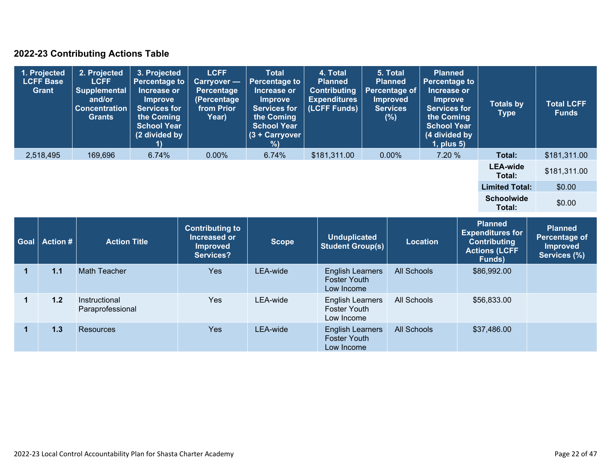### **2022-23 Contributing Actions Table**

| 1. Projected<br><b>LCFF Base</b><br><b>Grant</b> | 2. Projected<br><b>LCFF</b><br><b>Supplemental</b><br>and/or<br><b>Concentration</b><br><b>Grants</b> | 3. Projected<br><b>Percentage to</b><br>Increase or<br><b>Improve</b><br>Services for<br>the Coming<br><b>School Year</b><br>(2 divided by | <b>LCFF</b><br><b>Carryover —</b><br><b>Percentage</b><br>(Percentage<br>from Prior<br>Year) | <b>Total</b><br>Percentage to<br>Increase or<br><b>Improve</b><br><b>Services for</b><br>the Coming<br><b>School Year</b><br>$(3 + Carrow)$<br>% | 4. Total<br><b>Planned</b><br><b>Contributing</b><br><b>Expenditures</b><br>(LCFF Funds) | 5. Total<br><b>Planned</b><br>Percentage of<br><b>Improved</b><br><b>Services</b><br>(%) | <b>Planned</b><br><b>Percentage to</b><br>Increase or<br><b>Improve</b><br><b>Services for</b><br>the Coming<br><b>School Year</b><br>(4 divided by<br>$1$ , plus $5$ ) | <b>Totals by</b><br><b>Type</b> | <b>Total LCFF</b><br><b>Funds</b> |
|--------------------------------------------------|-------------------------------------------------------------------------------------------------------|--------------------------------------------------------------------------------------------------------------------------------------------|----------------------------------------------------------------------------------------------|--------------------------------------------------------------------------------------------------------------------------------------------------|------------------------------------------------------------------------------------------|------------------------------------------------------------------------------------------|-------------------------------------------------------------------------------------------------------------------------------------------------------------------------|---------------------------------|-----------------------------------|
| 2,518,495                                        | 169,696                                                                                               | 6.74%                                                                                                                                      | $0.00\%$                                                                                     | 6.74%                                                                                                                                            | \$181,311.00                                                                             | $0.00\%$                                                                                 | 7.20 %                                                                                                                                                                  | Total:                          | \$181,311.00                      |
|                                                  |                                                                                                       |                                                                                                                                            |                                                                                              |                                                                                                                                                  |                                                                                          |                                                                                          |                                                                                                                                                                         | <b>LEA-wide</b><br>Total:       | \$181,311.00                      |
|                                                  |                                                                                                       |                                                                                                                                            |                                                                                              |                                                                                                                                                  |                                                                                          |                                                                                          |                                                                                                                                                                         | <b>Limited Total:</b>           | \$0.00                            |
|                                                  |                                                                                                       |                                                                                                                                            |                                                                                              |                                                                                                                                                  |                                                                                          |                                                                                          |                                                                                                                                                                         | <b>Schoolwide</b><br>Total:     | \$0.00                            |

| <b>Goal</b> | Action # | <b>Action Title</b>               | <b>Contributing to</b><br>Increased or<br><b>Improved</b><br>Services? | <b>Scope</b> | <b>Unduplicated</b><br><b>Student Group(s)</b>               | <b>Location</b>    | <b>Planned</b><br><b>Expenditures for</b><br><b>Contributing</b><br><b>Actions (LCFF</b><br>Funds) | <b>Planned</b><br>Percentage of<br><b>Improved</b><br>Services (%) |
|-------------|----------|-----------------------------------|------------------------------------------------------------------------|--------------|--------------------------------------------------------------|--------------------|----------------------------------------------------------------------------------------------------|--------------------------------------------------------------------|
|             | 1.1      | <b>Math Teacher</b>               | <b>Yes</b>                                                             | LEA-wide     | <b>English Learners</b><br><b>Foster Youth</b><br>Low Income | <b>All Schools</b> | \$86,992.00                                                                                        |                                                                    |
|             | 1.2      | Instructional<br>Paraprofessional | Yes                                                                    | LEA-wide     | <b>English Learners</b><br><b>Foster Youth</b><br>Low Income | All Schools        | \$56,833.00                                                                                        |                                                                    |
|             | 1.3      | Resources                         | Yes                                                                    | LEA-wide     | <b>English Learners</b><br><b>Foster Youth</b><br>Low Income | All Schools        | \$37,486.00                                                                                        |                                                                    |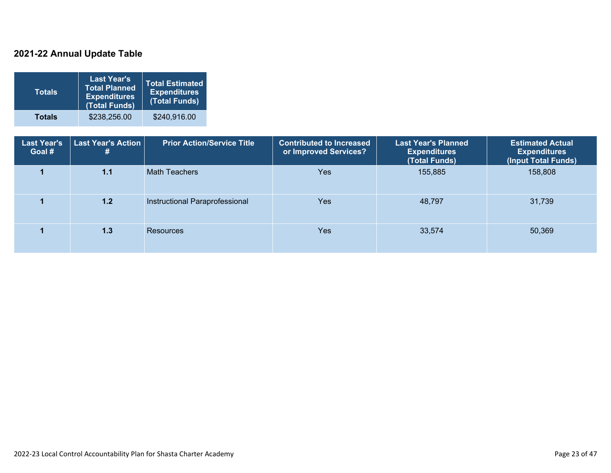### **2021-22 Annual Update Table**

| <b>Totals</b> | <b>Last Year's</b><br><b>Total Planned</b><br><b>Expenditures</b><br>(Total Funds) | <b>Total Estimated</b><br><b>Expenditures</b><br>(Total Funds) |
|---------------|------------------------------------------------------------------------------------|----------------------------------------------------------------|
| <b>Totals</b> | \$238,256.00                                                                       | \$240,916.00                                                   |

| <b>Last Year's</b><br>Goal # | <b>Last Year's Action</b><br># | <b>Prior Action/Service Title</b> | <b>Contributed to Increased</b><br>or Improved Services? | <b>Last Year's Planned</b><br><b>Expenditures</b><br>(Total Funds) | <b>Estimated Actual</b><br><b>Expenditures</b><br>(Input Total Funds) |
|------------------------------|--------------------------------|-----------------------------------|----------------------------------------------------------|--------------------------------------------------------------------|-----------------------------------------------------------------------|
|                              | 1.1                            | <b>Math Teachers</b>              | <b>Yes</b>                                               | 155,885                                                            | 158,808                                                               |
|                              | 1.2                            | Instructional Paraprofessional    | Yes                                                      | 48,797                                                             | 31,739                                                                |
|                              | 1.3                            | Resources                         | <b>Yes</b>                                               | 33,574                                                             | 50,369                                                                |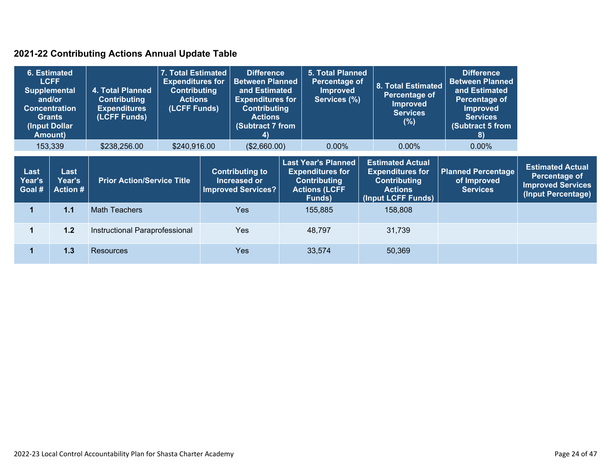### **2021-22 Contributing Actions Annual Update Table**

| 6. Estimated<br><b>LCFF</b><br><b>Supplemental</b><br>and/or<br><b>Amount</b> ) | <b>Concentration</b><br><b>Grants</b><br>(Input Dollar | 4. Total Planned<br><b>Contributing</b><br><b>Expenditures</b><br>(LCFF Funds) | 7. Total Estimated<br><b>Expenditures for</b><br><b>Contributing</b><br><b>Actions</b><br>(LCFF Funds) |  | <b>Difference</b><br><b>Between Planned</b><br>and Estimated<br><b>Expenditures for</b><br><b>Contributing</b><br><b>Actions</b><br><b>(Subtract 7 from</b><br>4)                     |  | <b>5. Total Planned</b><br>Percentage of<br><b>Improved</b><br>Services (%) | 8. Total Estimated<br>Percentage of<br><b>Improved</b><br><b>Services</b><br>(%)                                  | <b>Difference</b><br><b>Between Planned</b><br>and Estimated<br>Percentage of<br><b>Improved</b><br><b>Services</b><br>(Subtract 5 from<br>$\bf{8}$ |                                                                                            |
|---------------------------------------------------------------------------------|--------------------------------------------------------|--------------------------------------------------------------------------------|--------------------------------------------------------------------------------------------------------|--|---------------------------------------------------------------------------------------------------------------------------------------------------------------------------------------|--|-----------------------------------------------------------------------------|-------------------------------------------------------------------------------------------------------------------|-----------------------------------------------------------------------------------------------------------------------------------------------------|--------------------------------------------------------------------------------------------|
|                                                                                 | 153,339                                                | \$238,256.00                                                                   | \$240,916.00                                                                                           |  | (\$2,660.00)                                                                                                                                                                          |  | $0.00\%$                                                                    | $0.00\%$                                                                                                          | $0.00\%$                                                                                                                                            |                                                                                            |
| Last<br>Year's<br>Goal #                                                        | Last<br>Year's<br><b>Action #</b>                      |                                                                                | <b>Prior Action/Service Title</b>                                                                      |  | <b>Last Year's Planned</b><br><b>Expenditures for</b><br><b>Contributing to</b><br>Increased or<br><b>Contributing</b><br><b>Improved Services?</b><br><b>Actions (LCFF</b><br>Funds) |  |                                                                             | <b>Estimated Actual</b><br><b>Expenditures for</b><br><b>Contributing</b><br><b>Actions</b><br>(Input LCFF Funds) | <b>Planned Percentage</b><br>of Improved<br><b>Services</b>                                                                                         | <b>Estimated Actual</b><br>Percentage of<br><b>Improved Services</b><br>(Input Percentage) |
| 1                                                                               | 1.1                                                    | <b>Math Teachers</b>                                                           |                                                                                                        |  | <b>Yes</b>                                                                                                                                                                            |  | 155,885                                                                     | 158,808                                                                                                           |                                                                                                                                                     |                                                                                            |
|                                                                                 | 1.2                                                    | Instructional Paraprofessional                                                 |                                                                                                        |  | <b>Yes</b>                                                                                                                                                                            |  | 48,797                                                                      | 31,739                                                                                                            |                                                                                                                                                     |                                                                                            |
|                                                                                 | 1.3                                                    | <b>Resources</b>                                                               |                                                                                                        |  | <b>Yes</b>                                                                                                                                                                            |  | 33,574                                                                      | 50,369                                                                                                            |                                                                                                                                                     |                                                                                            |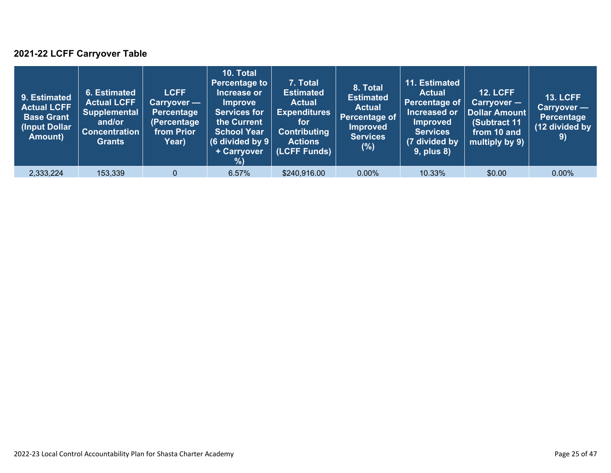### **2021-22 LCFF Carryover Table**

| 9. Estimated<br><b>Actual LCFF</b><br><b>Base Grant</b><br>(Input Dollar<br>Amount) | 6. Estimated<br><b>Actual LCFF</b><br><b>Supplemental</b><br>and/or<br><b>Concentration</b><br><b>Grants</b> | <b>LCFF</b><br>Carryover —<br>Percentage<br>(Percentage<br>from Prior<br>Year) | 10. Total<br><b>Percentage to</b><br>Increase or<br><b>Improve</b><br><b>Services for</b><br>the Current<br><b>School Year</b><br>(6 divided by $9$ $ $<br>+ Carryover<br>% | 7. Total<br><b>Estimated</b><br><b>Actual</b><br><b>Expenditures</b><br>for<br><b>Contributing</b><br><b>Actions</b><br>(LCFF Funds) | 8. Total<br><b>Estimated</b><br><b>Actual</b><br>Percentage of<br>Improved<br><b>Services</b><br>$(\%)$ | 11. Estimated<br><b>Actual</b><br>Percentage of<br>Increased or<br><b>Improved</b><br><b>Services</b><br>(7 divided by<br><b>9, plus 8)</b> | <b>12. LCFF</b><br>Carryover -<br>Dollar Amount<br>(Subtract 11<br>from 10 and<br>multiply by 9) | <b>13. LCFF</b><br>Carryover —<br>Percentage<br>(12 divided by<br>9) |
|-------------------------------------------------------------------------------------|--------------------------------------------------------------------------------------------------------------|--------------------------------------------------------------------------------|-----------------------------------------------------------------------------------------------------------------------------------------------------------------------------|--------------------------------------------------------------------------------------------------------------------------------------|---------------------------------------------------------------------------------------------------------|---------------------------------------------------------------------------------------------------------------------------------------------|--------------------------------------------------------------------------------------------------|----------------------------------------------------------------------|
| 2,333,224                                                                           | 153,339                                                                                                      | $\Omega$                                                                       | 6.57%                                                                                                                                                                       | \$240,916.00                                                                                                                         | $0.00\%$                                                                                                | 10.33%                                                                                                                                      | \$0.00                                                                                           | $0.00\%$                                                             |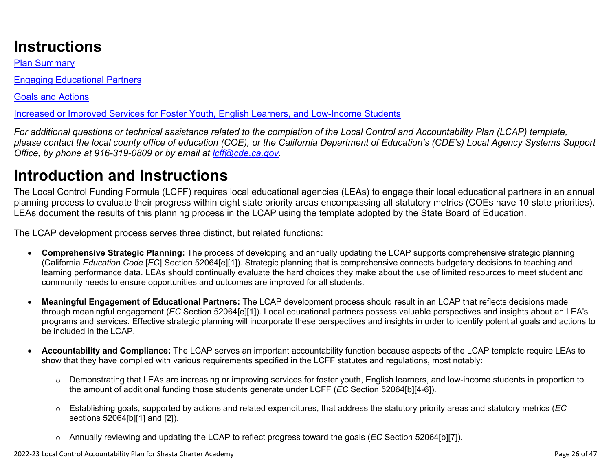# **Instructions**

Plan Summary

Engaging Educational Partners

Goals and Actions

Increased or Improved Services for Foster Youth, English Learners, and Low-Income Students

*For additional questions or technical assistance related to the completion of the Local Control and Accountability Plan (LCAP) template, please contact the local county office of education (COE), or the California Department of Education's (CDE's) Local Agency Systems Support Office, by phone at 916-319-0809 or by email at [lcff@cde.ca.gov](mailto:lcff@cde.ca.gov).*

# **Introduction and Instructions**

The Local Control Funding Formula (LCFF) requires local educational agencies (LEAs) to engage their local educational partners in an annual planning process to evaluate their progress within eight state priority areas encompassing all statutory metrics (COEs have 10 state priorities). LEAs document the results of this planning process in the LCAP using the template adopted by the State Board of Education.

The LCAP development process serves three distinct, but related functions:

- **Comprehensive Strategic Planning:** The process of developing and annually updating the LCAP supports comprehensive strategic planning (California *Education Code* [*EC*] Section 52064[e][1]). Strategic planning that is comprehensive connects budgetary decisions to teaching and learning performance data. LEAs should continually evaluate the hard choices they make about the use of limited resources to meet student and community needs to ensure opportunities and outcomes are improved for all students.
- **Meaningful Engagement of Educational Partners:** The LCAP development process should result in an LCAP that reflects decisions made through meaningful engagement (*EC* Section 52064[e][1]). Local educational partners possess valuable perspectives and insights about an LEA's programs and services. Effective strategic planning will incorporate these perspectives and insights in order to identify potential goals and actions to be included in the LCAP.
- **Accountability and Compliance:** The LCAP serves an important accountability function because aspects of the LCAP template require LEAs to show that they have complied with various requirements specified in the LCFF statutes and regulations, most notably:
	- o Demonstrating that LEAs are increasing or improving services for foster youth, English learners, and low-income students in proportion to the amount of additional funding those students generate under LCFF (*EC* Section 52064[b][4-6]).
	- o Establishing goals, supported by actions and related expenditures, that address the statutory priority areas and statutory metrics (*EC* sections 52064[b][1] and [2]).
	- o Annually reviewing and updating the LCAP to reflect progress toward the goals (*EC* Section 52064[b][7]).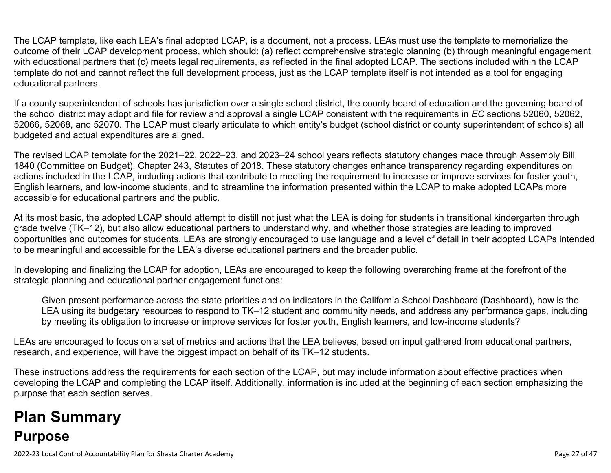The LCAP template, like each LEA's final adopted LCAP, is a document, not a process. LEAs must use the template to memorialize the outcome of their LCAP development process, which should: (a) reflect comprehensive strategic planning (b) through meaningful engagement with educational partners that (c) meets legal requirements, as reflected in the final adopted LCAP. The sections included within the LCAP template do not and cannot reflect the full development process, just as the LCAP template itself is not intended as a tool for engaging educational partners.

If a county superintendent of schools has jurisdiction over a single school district, the county board of education and the governing board of the school district may adopt and file for review and approval a single LCAP consistent with the requirements in *EC* sections 52060, 52062, 52066, 52068, and 52070. The LCAP must clearly articulate to which entity's budget (school district or county superintendent of schools) all budgeted and actual expenditures are aligned.

The revised LCAP template for the 2021–22, 2022–23, and 2023–24 school years reflects statutory changes made through Assembly Bill 1840 (Committee on Budget), Chapter 243, Statutes of 2018. These statutory changes enhance transparency regarding expenditures on actions included in the LCAP, including actions that contribute to meeting the requirement to increase or improve services for foster youth, English learners, and low-income students, and to streamline the information presented within the LCAP to make adopted LCAPs more accessible for educational partners and the public.

At its most basic, the adopted LCAP should attempt to distill not just what the LEA is doing for students in transitional kindergarten through grade twelve (TK–12), but also allow educational partners to understand why, and whether those strategies are leading to improved opportunities and outcomes for students. LEAs are strongly encouraged to use language and a level of detail in their adopted LCAPs intended to be meaningful and accessible for the LEA's diverse educational partners and the broader public.

In developing and finalizing the LCAP for adoption, LEAs are encouraged to keep the following overarching frame at the forefront of the strategic planning and educational partner engagement functions:

Given present performance across the state priorities and on indicators in the California School Dashboard (Dashboard), how is the LEA using its budgetary resources to respond to TK–12 student and community needs, and address any performance gaps, including by meeting its obligation to increase or improve services for foster youth, English learners, and low-income students?

LEAs are encouraged to focus on a set of metrics and actions that the LEA believes, based on input gathered from educational partners, research, and experience, will have the biggest impact on behalf of its TK–12 students.

These instructions address the requirements for each section of the LCAP, but may include information about effective practices when developing the LCAP and completing the LCAP itself. Additionally, information is included at the beginning of each section emphasizing the purpose that each section serves.

# **Plan Summary Purpose**

2022-23 Local Control Accountability Plan for Shasta Charter Academy Page 27 of 47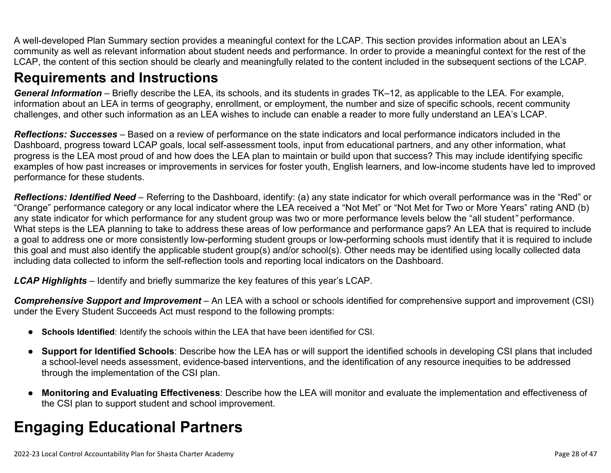A well-developed Plan Summary section provides a meaningful context for the LCAP. This section provides information about an LEA's community as well as relevant information about student needs and performance. In order to provide a meaningful context for the rest of the LCAP, the content of this section should be clearly and meaningfully related to the content included in the subsequent sections of the LCAP.

### **Requirements and Instructions**

*General Information* – Briefly describe the LEA, its schools, and its students in grades TK–12, as applicable to the LEA. For example, information about an LEA in terms of geography, enrollment, or employment, the number and size of specific schools, recent community challenges, and other such information as an LEA wishes to include can enable a reader to more fully understand an LEA's LCAP.

*Reflections: Successes* – Based on a review of performance on the state indicators and local performance indicators included in the Dashboard, progress toward LCAP goals, local self-assessment tools, input from educational partners, and any other information, what progress is the LEA most proud of and how does the LEA plan to maintain or build upon that success? This may include identifying specific examples of how past increases or improvements in services for foster youth, English learners, and low-income students have led to improved performance for these students.

*Reflections: Identified Need* – Referring to the Dashboard, identify: (a) any state indicator for which overall performance was in the "Red" or "Orange" performance category or any local indicator where the LEA received a "Not Met" or "Not Met for Two or More Years" rating AND (b) any state indicator for which performance for any student group was two or more performance levels below the "all student*"* performance. What steps is the LEA planning to take to address these areas of low performance and performance gaps? An LEA that is required to include a goal to address one or more consistently low-performing student groups or low-performing schools must identify that it is required to include this goal and must also identify the applicable student group(s) and/or school(s). Other needs may be identified using locally collected data including data collected to inform the self-reflection tools and reporting local indicators on the Dashboard.

*LCAP Highlights* – Identify and briefly summarize the key features of this year's LCAP.

*Comprehensive Support and Improvement* – An LEA with a school or schools identified for comprehensive support and improvement (CSI) under the Every Student Succeeds Act must respond to the following prompts:

- **Schools Identified**: Identify the schools within the LEA that have been identified for CSI.
- **Support for Identified Schools**: Describe how the LEA has or will support the identified schools in developing CSI plans that included a school-level needs assessment, evidence-based interventions, and the identification of any resource inequities to be addressed through the implementation of the CSI plan.
- **Monitoring and Evaluating Effectiveness**: Describe how the LEA will monitor and evaluate the implementation and effectiveness of the CSI plan to support student and school improvement.

# **Engaging Educational Partners**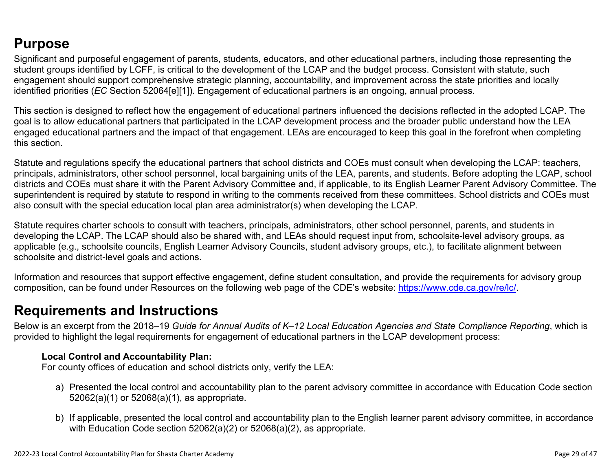## **Purpose**

Significant and purposeful engagement of parents, students, educators, and other educational partners, including those representing the student groups identified by LCFF, is critical to the development of the LCAP and the budget process. Consistent with statute, such engagement should support comprehensive strategic planning, accountability, and improvement across the state priorities and locally identified priorities (*EC* Section 52064[e][1]). Engagement of educational partners is an ongoing, annual process.

This section is designed to reflect how the engagement of educational partners influenced the decisions reflected in the adopted LCAP. The goal is to allow educational partners that participated in the LCAP development process and the broader public understand how the LEA engaged educational partners and the impact of that engagement. LEAs are encouraged to keep this goal in the forefront when completing this section.

Statute and regulations specify the educational partners that school districts and COEs must consult when developing the LCAP: teachers, principals, administrators, other school personnel, local bargaining units of the LEA, parents, and students. Before adopting the LCAP, school districts and COEs must share it with the Parent Advisory Committee and, if applicable, to its English Learner Parent Advisory Committee. The superintendent is required by statute to respond in writing to the comments received from these committees. School districts and COEs must also consult with the special education local plan area administrator(s) when developing the LCAP.

Statute requires charter schools to consult with teachers, principals, administrators, other school personnel, parents, and students in developing the LCAP. The LCAP should also be shared with, and LEAs should request input from, schoolsite-level advisory groups, as applicable (e.g., schoolsite councils, English Learner Advisory Councils, student advisory groups, etc.), to facilitate alignment between schoolsite and district-level goals and actions.

Information and resources that support effective engagement, define student consultation, and provide the requirements for advisory group composition, can be found under Resources on the following web page of the CDE's website: <https://www.cde.ca.gov/re/lc/>.

### **Requirements and Instructions**

Below is an excerpt from the 2018–19 *Guide for Annual Audits of K–12 Local Education Agencies and State Compliance Reporting*, which is provided to highlight the legal requirements for engagement of educational partners in the LCAP development process:

### **Local Control and Accountability Plan:**

For county offices of education and school districts only, verify the LEA:

- a) Presented the local control and accountability plan to the parent advisory committee in accordance with Education Code section 52062(a)(1) or 52068(a)(1), as appropriate.
- b) If applicable, presented the local control and accountability plan to the English learner parent advisory committee, in accordance with Education Code section 52062(a)(2) or 52068(a)(2), as appropriate.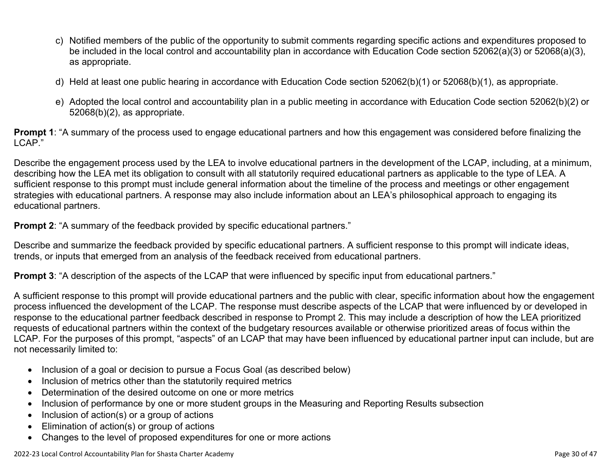- c) Notified members of the public of the opportunity to submit comments regarding specific actions and expenditures proposed to be included in the local control and accountability plan in accordance with Education Code section 52062(a)(3) or 52068(a)(3), as appropriate.
- d) Held at least one public hearing in accordance with Education Code section 52062(b)(1) or 52068(b)(1), as appropriate.
- e) Adopted the local control and accountability plan in a public meeting in accordance with Education Code section 52062(b)(2) or 52068(b)(2), as appropriate.

**Prompt 1**: "A summary of the process used to engage educational partners and how this engagement was considered before finalizing the LCAP."

Describe the engagement process used by the LEA to involve educational partners in the development of the LCAP, including, at a minimum, describing how the LEA met its obligation to consult with all statutorily required educational partners as applicable to the type of LEA. A sufficient response to this prompt must include general information about the timeline of the process and meetings or other engagement strategies with educational partners. A response may also include information about an LEA's philosophical approach to engaging its educational partners.

**Prompt 2:** "A summary of the feedback provided by specific educational partners."

Describe and summarize the feedback provided by specific educational partners. A sufficient response to this prompt will indicate ideas, trends, or inputs that emerged from an analysis of the feedback received from educational partners.

**Prompt 3**: "A description of the aspects of the LCAP that were influenced by specific input from educational partners."

A sufficient response to this prompt will provide educational partners and the public with clear, specific information about how the engagement process influenced the development of the LCAP. The response must describe aspects of the LCAP that were influenced by or developed in response to the educational partner feedback described in response to Prompt 2. This may include a description of how the LEA prioritized requests of educational partners within the context of the budgetary resources available or otherwise prioritized areas of focus within the LCAP. For the purposes of this prompt, "aspects" of an LCAP that may have been influenced by educational partner input can include, but are not necessarily limited to:

- Inclusion of a goal or decision to pursue a Focus Goal (as described below)
- Inclusion of metrics other than the statutorily required metrics
- Determination of the desired outcome on one or more metrics
- Inclusion of performance by one or more student groups in the Measuring and Reporting Results subsection
- Inclusion of action(s) or a group of actions
- Elimination of action(s) or group of actions
- Changes to the level of proposed expenditures for one or more actions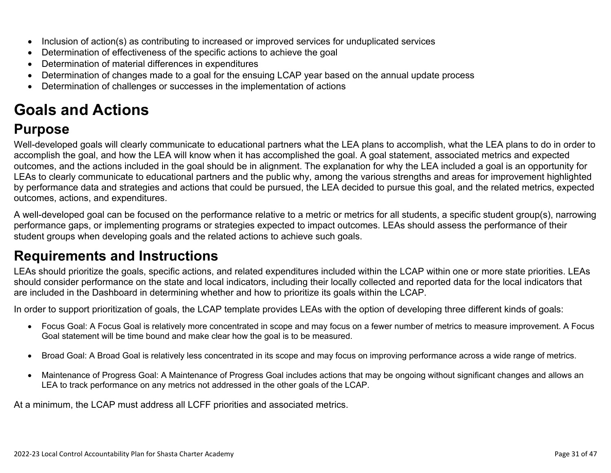- Inclusion of action(s) as contributing to increased or improved services for unduplicated services
- Determination of effectiveness of the specific actions to achieve the goal
- Determination of material differences in expenditures
- Determination of changes made to a goal for the ensuing LCAP year based on the annual update process
- Determination of challenges or successes in the implementation of actions

# **Goals and Actions**

## **Purpose**

Well-developed goals will clearly communicate to educational partners what the LEA plans to accomplish, what the LEA plans to do in order to accomplish the goal, and how the LEA will know when it has accomplished the goal. A goal statement, associated metrics and expected outcomes, and the actions included in the goal should be in alignment. The explanation for why the LEA included a goal is an opportunity for LEAs to clearly communicate to educational partners and the public why, among the various strengths and areas for improvement highlighted by performance data and strategies and actions that could be pursued, the LEA decided to pursue this goal, and the related metrics, expected outcomes, actions, and expenditures.

A well-developed goal can be focused on the performance relative to a metric or metrics for all students, a specific student group(s), narrowing performance gaps, or implementing programs or strategies expected to impact outcomes. LEAs should assess the performance of their student groups when developing goals and the related actions to achieve such goals.

## **Requirements and Instructions**

LEAs should prioritize the goals, specific actions, and related expenditures included within the LCAP within one or more state priorities. LEAs should consider performance on the state and local indicators, including their locally collected and reported data for the local indicators that are included in the Dashboard in determining whether and how to prioritize its goals within the LCAP.

In order to support prioritization of goals, the LCAP template provides LEAs with the option of developing three different kinds of goals:

- Focus Goal: A Focus Goal is relatively more concentrated in scope and may focus on a fewer number of metrics to measure improvement. A Focus Goal statement will be time bound and make clear how the goal is to be measured.
- Broad Goal: A Broad Goal is relatively less concentrated in its scope and may focus on improving performance across a wide range of metrics.
- Maintenance of Progress Goal: A Maintenance of Progress Goal includes actions that may be ongoing without significant changes and allows an LEA to track performance on any metrics not addressed in the other goals of the LCAP.

At a minimum, the LCAP must address all LCFF priorities and associated metrics.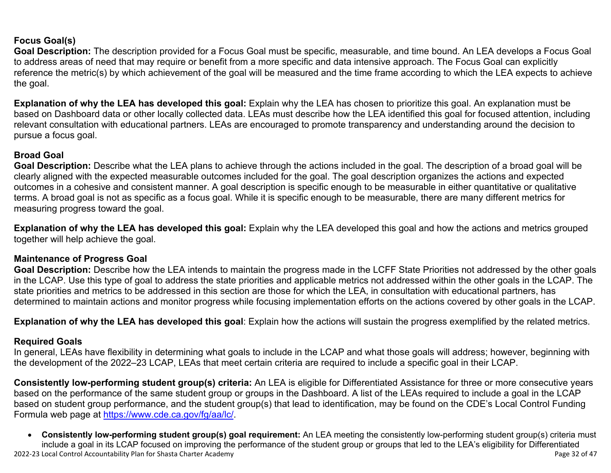### **Focus Goal(s)**

**Goal Description:** The description provided for a Focus Goal must be specific, measurable, and time bound. An LEA develops a Focus Goal to address areas of need that may require or benefit from a more specific and data intensive approach. The Focus Goal can explicitly reference the metric(s) by which achievement of the goal will be measured and the time frame according to which the LEA expects to achieve the goal.

**Explanation of why the LEA has developed this goal:** Explain why the LEA has chosen to prioritize this goal. An explanation must be based on Dashboard data or other locally collected data. LEAs must describe how the LEA identified this goal for focused attention, including relevant consultation with educational partners. LEAs are encouraged to promote transparency and understanding around the decision to pursue a focus goal.

#### **Broad Goal**

Goal Description: Describe what the LEA plans to achieve through the actions included in the goal. The description of a broad goal will be clearly aligned with the expected measurable outcomes included for the goal. The goal description organizes the actions and expected outcomes in a cohesive and consistent manner. A goal description is specific enough to be measurable in either quantitative or qualitative terms. A broad goal is not as specific as a focus goal. While it is specific enough to be measurable, there are many different metrics for measuring progress toward the goal.

**Explanation of why the LEA has developed this goal:** Explain why the LEA developed this goal and how the actions and metrics grouped together will help achieve the goal.

#### **Maintenance of Progress Goal**

**Goal Description:** Describe how the LEA intends to maintain the progress made in the LCFF State Priorities not addressed by the other goals in the LCAP. Use this type of goal to address the state priorities and applicable metrics not addressed within the other goals in the LCAP. The state priorities and metrics to be addressed in this section are those for which the LEA, in consultation with educational partners, has determined to maintain actions and monitor progress while focusing implementation efforts on the actions covered by other goals in the LCAP.

**Explanation of why the LEA has developed this goal**: Explain how the actions will sustain the progress exemplified by the related metrics.

#### **Required Goals**

In general, LEAs have flexibility in determining what goals to include in the LCAP and what those goals will address; however, beginning with the development of the 2022–23 LCAP, LEAs that meet certain criteria are required to include a specific goal in their LCAP.

**Consistently low-performing student group(s) criteria:** An LEA is eligible for Differentiated Assistance for three or more consecutive years based on the performance of the same student group or groups in the Dashboard. A list of the LEAs required to include a goal in the LCAP based on student group performance, and the student group(s) that lead to identification, may be found on the CDE's Local Control Funding Formula web page at [https://www.cde.ca.gov/fg/aa/lc/.](https://www.cde.ca.gov/fg/aa/lc/)

2022-23 Local Control Accountability Plan for Shasta Charter Academy Page 32 of 47 • **Consistently low-performing student group(s) goal requirement:** An LEA meeting the consistently low-performing student group(s) criteria must include a goal in its LCAP focused on improving the performance of the student group or groups that led to the LEA's eligibility for Differentiated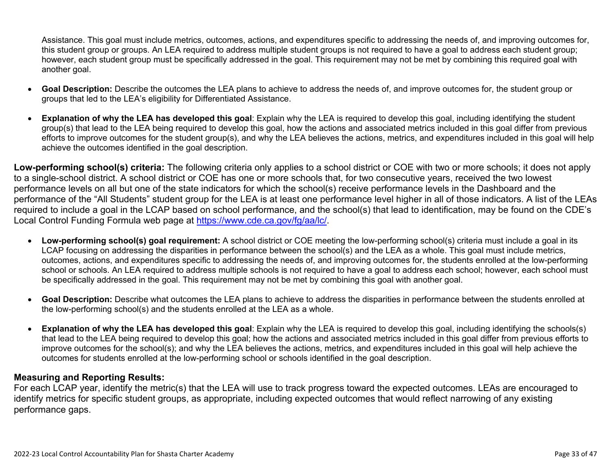Assistance. This goal must include metrics, outcomes, actions, and expenditures specific to addressing the needs of, and improving outcomes for, this student group or groups. An LEA required to address multiple student groups is not required to have a goal to address each student group; however, each student group must be specifically addressed in the goal. This requirement may not be met by combining this required goal with another goal.

- **Goal Description:** Describe the outcomes the LEA plans to achieve to address the needs of, and improve outcomes for, the student group or groups that led to the LEA's eligibility for Differentiated Assistance.
- **Explanation of why the LEA has developed this goal**: Explain why the LEA is required to develop this goal, including identifying the student group(s) that lead to the LEA being required to develop this goal, how the actions and associated metrics included in this goal differ from previous efforts to improve outcomes for the student group(s), and why the LEA believes the actions, metrics, and expenditures included in this goal will help achieve the outcomes identified in the goal description.

**Low-performing school(s) criteria:** The following criteria only applies to a school district or COE with two or more schools; it does not apply to a single-school district. A school district or COE has one or more schools that, for two consecutive years, received the two lowest performance levels on all but one of the state indicators for which the school(s) receive performance levels in the Dashboard and the performance of the "All Students" student group for the LEA is at least one performance level higher in all of those indicators. A list of the LEAs required to include a goal in the LCAP based on school performance, and the school(s) that lead to identification, may be found on the CDE's Local Control Funding Formula web page at [https://www.cde.ca.gov/fg/aa/lc/.](https://www.cde.ca.gov/fg/aa/lc/)

- **Low-performing school(s) goal requirement:** A school district or COE meeting the low-performing school(s) criteria must include a goal in its LCAP focusing on addressing the disparities in performance between the school(s) and the LEA as a whole. This goal must include metrics, outcomes, actions, and expenditures specific to addressing the needs of, and improving outcomes for, the students enrolled at the low-performing school or schools. An LEA required to address multiple schools is not required to have a goal to address each school; however, each school must be specifically addressed in the goal. This requirement may not be met by combining this goal with another goal.
- **Goal Description:** Describe what outcomes the LEA plans to achieve to address the disparities in performance between the students enrolled at the low-performing school(s) and the students enrolled at the LEA as a whole.
- **Explanation of why the LEA has developed this goal**: Explain why the LEA is required to develop this goal, including identifying the schools(s) that lead to the LEA being required to develop this goal; how the actions and associated metrics included in this goal differ from previous efforts to improve outcomes for the school(s); and why the LEA believes the actions, metrics, and expenditures included in this goal will help achieve the outcomes for students enrolled at the low-performing school or schools identified in the goal description.

### **Measuring and Reporting Results:**

For each LCAP year, identify the metric(s) that the LEA will use to track progress toward the expected outcomes. LEAs are encouraged to identify metrics for specific student groups, as appropriate, including expected outcomes that would reflect narrowing of any existing performance gaps.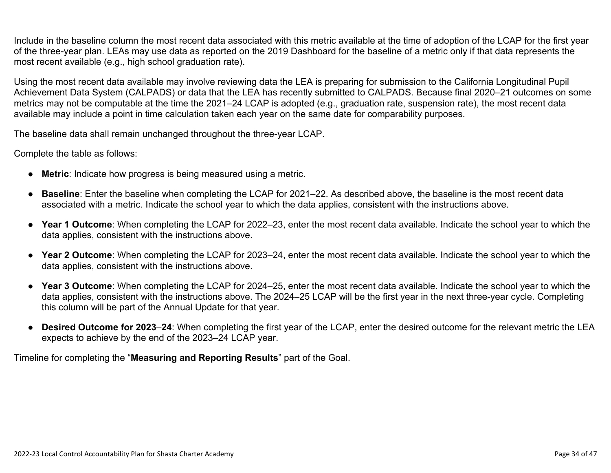Include in the baseline column the most recent data associated with this metric available at the time of adoption of the LCAP for the first year of the three-year plan. LEAs may use data as reported on the 2019 Dashboard for the baseline of a metric only if that data represents the most recent available (e.g., high school graduation rate).

Using the most recent data available may involve reviewing data the LEA is preparing for submission to the California Longitudinal Pupil Achievement Data System (CALPADS) or data that the LEA has recently submitted to CALPADS. Because final 2020–21 outcomes on some metrics may not be computable at the time the 2021–24 LCAP is adopted (e.g., graduation rate, suspension rate), the most recent data available may include a point in time calculation taken each year on the same date for comparability purposes.

The baseline data shall remain unchanged throughout the three-year LCAP.

Complete the table as follows:

- **Metric**: Indicate how progress is being measured using a metric.
- **Baseline**: Enter the baseline when completing the LCAP for 2021–22. As described above, the baseline is the most recent data associated with a metric. Indicate the school year to which the data applies, consistent with the instructions above.
- **Year 1 Outcome**: When completing the LCAP for 2022–23, enter the most recent data available. Indicate the school year to which the data applies, consistent with the instructions above.
- **Year 2 Outcome**: When completing the LCAP for 2023–24, enter the most recent data available. Indicate the school year to which the data applies, consistent with the instructions above.
- **Year 3 Outcome**: When completing the LCAP for 2024–25, enter the most recent data available. Indicate the school year to which the data applies, consistent with the instructions above. The 2024–25 LCAP will be the first year in the next three-year cycle. Completing this column will be part of the Annual Update for that year.
- **Desired Outcome for 2023**–**24**: When completing the first year of the LCAP, enter the desired outcome for the relevant metric the LEA expects to achieve by the end of the 2023–24 LCAP year.

Timeline for completing the "**Measuring and Reporting Results**" part of the Goal.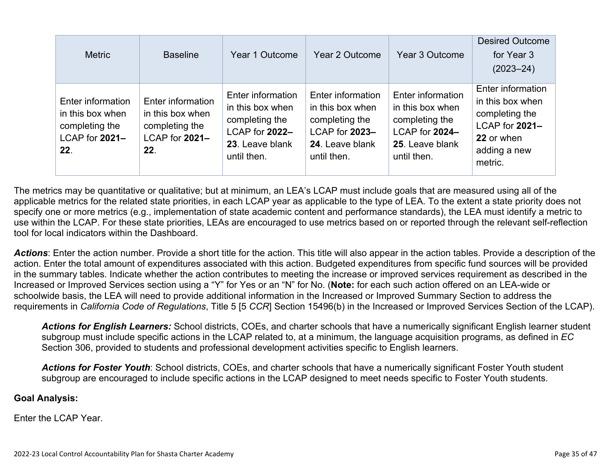| <b>Metric</b>                                                                    | <b>Baseline</b>                                                                  | Year 1 Outcome                                                                                              | Year 2 Outcome                                                                                              | Year 3 Outcome                                                                                              | <b>Desired Outcome</b><br>for Year 3<br>$(2023 - 24)$                                                              |
|----------------------------------------------------------------------------------|----------------------------------------------------------------------------------|-------------------------------------------------------------------------------------------------------------|-------------------------------------------------------------------------------------------------------------|-------------------------------------------------------------------------------------------------------------|--------------------------------------------------------------------------------------------------------------------|
| Enter information<br>in this box when<br>completing the<br>LCAP for 2021-<br>22. | Enter information<br>in this box when<br>completing the<br>LCAP for 2021-<br>22. | Enter information<br>in this box when<br>completing the<br>LCAP for 2022-<br>23. Leave blank<br>until then. | Enter information<br>in this box when<br>completing the<br>LCAP for 2023-<br>24. Leave blank<br>until then. | Enter information<br>in this box when<br>completing the<br>LCAP for 2024-<br>25. Leave blank<br>until then. | Enter information<br>in this box when<br>completing the<br>LCAP for 2021-<br>22 or when<br>adding a new<br>metric. |

The metrics may be quantitative or qualitative; but at minimum, an LEA's LCAP must include goals that are measured using all of the applicable metrics for the related state priorities, in each LCAP year as applicable to the type of LEA. To the extent a state priority does not specify one or more metrics (e.g., implementation of state academic content and performance standards), the LEA must identify a metric to use within the LCAP. For these state priorities, LEAs are encouraged to use metrics based on or reported through the relevant self-reflection tool for local indicators within the Dashboard.

*Actions*: Enter the action number. Provide a short title for the action. This title will also appear in the action tables. Provide a description of the action. Enter the total amount of expenditures associated with this action. Budgeted expenditures from specific fund sources will be provided in the summary tables. Indicate whether the action contributes to meeting the increase or improved services requirement as described in the Increased or Improved Services section using a "Y" for Yes or an "N" for No. (**Note:** for each such action offered on an LEA-wide or schoolwide basis, the LEA will need to provide additional information in the Increased or Improved Summary Section to address the requirements in *California Code of Regulations*, Title 5 [5 *CCR*] Section 15496(b) in the Increased or Improved Services Section of the LCAP).

*Actions for English Learners:* School districts, COEs, and charter schools that have a numerically significant English learner student subgroup must include specific actions in the LCAP related to, at a minimum, the language acquisition programs, as defined in *EC* Section 306, provided to students and professional development activities specific to English learners.

*Actions for Foster Youth*: School districts, COEs, and charter schools that have a numerically significant Foster Youth student subgroup are encouraged to include specific actions in the LCAP designed to meet needs specific to Foster Youth students.

#### **Goal Analysis:**

Enter the LCAP Year.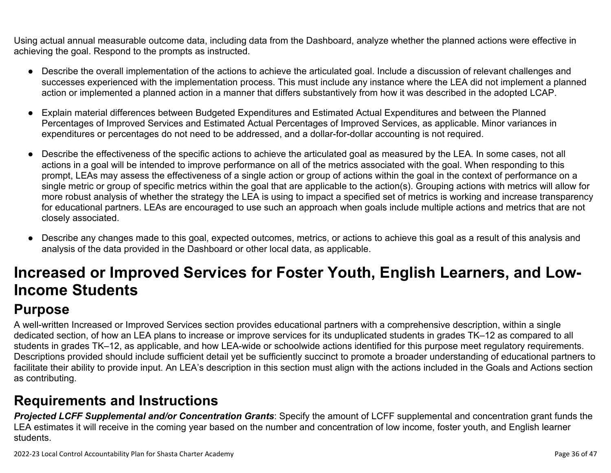Using actual annual measurable outcome data, including data from the Dashboard, analyze whether the planned actions were effective in achieving the goal. Respond to the prompts as instructed.

- Describe the overall implementation of the actions to achieve the articulated goal. Include a discussion of relevant challenges and successes experienced with the implementation process. This must include any instance where the LEA did not implement a planned action or implemented a planned action in a manner that differs substantively from how it was described in the adopted LCAP.
- Explain material differences between Budgeted Expenditures and Estimated Actual Expenditures and between the Planned Percentages of Improved Services and Estimated Actual Percentages of Improved Services, as applicable. Minor variances in expenditures or percentages do not need to be addressed, and a dollar-for-dollar accounting is not required.
- Describe the effectiveness of the specific actions to achieve the articulated goal as measured by the LEA. In some cases, not all actions in a goal will be intended to improve performance on all of the metrics associated with the goal. When responding to this prompt, LEAs may assess the effectiveness of a single action or group of actions within the goal in the context of performance on a single metric or group of specific metrics within the goal that are applicable to the action(s). Grouping actions with metrics will allow for more robust analysis of whether the strategy the LEA is using to impact a specified set of metrics is working and increase transparency for educational partners. LEAs are encouraged to use such an approach when goals include multiple actions and metrics that are not closely associated.
- Describe any changes made to this goal, expected outcomes, metrics, or actions to achieve this goal as a result of this analysis and analysis of the data provided in the Dashboard or other local data, as applicable.

# **Increased or Improved Services for Foster Youth, English Learners, and Low-Income Students**

## **Purpose**

A well-written Increased or Improved Services section provides educational partners with a comprehensive description, within a single dedicated section, of how an LEA plans to increase or improve services for its unduplicated students in grades TK–12 as compared to all students in grades TK–12, as applicable, and how LEA-wide or schoolwide actions identified for this purpose meet regulatory requirements. Descriptions provided should include sufficient detail yet be sufficiently succinct to promote a broader understanding of educational partners to facilitate their ability to provide input. An LEA's description in this section must align with the actions included in the Goals and Actions section as contributing.

## **Requirements and Instructions**

*Projected LCFF Supplemental and/or Concentration Grants*: Specify the amount of LCFF supplemental and concentration grant funds the LEA estimates it will receive in the coming year based on the number and concentration of low income, foster youth, and English learner students.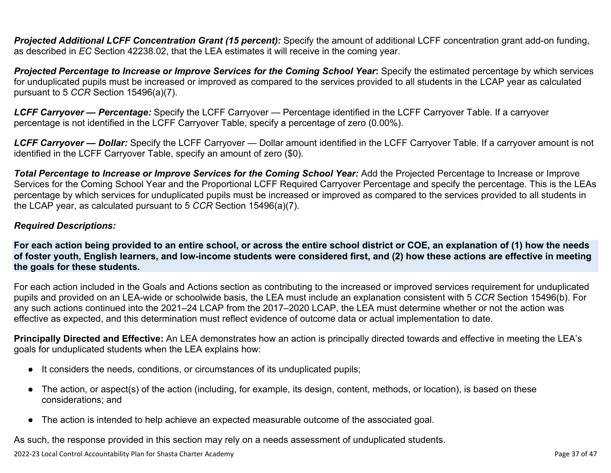**Projected Additional LCFF Concentration Grant (15 percent):** Specify the amount of additional LCFF concentration grant add-on funding, as described in *EC* Section 42238.02, that the LEA estimates it will receive in the coming year.

*Projected Percentage to Increase or Improve Services for the Coming School Year***:** Specify the estimated percentage by which services for unduplicated pupils must be increased or improved as compared to the services provided to all students in the LCAP year as calculated pursuant to 5 *CCR* Section 15496(a)(7).

*LCFF Carryover — Percentage:* Specify the LCFF Carryover — Percentage identified in the LCFF Carryover Table. If a carryover percentage is not identified in the LCFF Carryover Table, specify a percentage of zero (0.00%).

*LCFF Carryover — Dollar:* Specify the LCFF Carryover — Dollar amount identified in the LCFF Carryover Table. If a carryover amount is not identified in the LCFF Carryover Table, specify an amount of zero (\$0).

**Total Percentage to Increase or Improve Services for the Coming School Year:** Add the Projected Percentage to Increase or Improve Services for the Coming School Year and the Proportional LCFF Required Carryover Percentage and specify the percentage. This is the LEAs percentage by which services for unduplicated pupils must be increased or improved as compared to the services provided to all students in the LCAP year, as calculated pursuant to 5 *CCR* Section 15496(a)(7).

#### *Required Descriptions:*

**For each action being provided to an entire school, or across the entire school district or COE, an explanation of (1) how the needs of foster youth, English learners, and low-income students were considered first, and (2) how these actions are effective in meeting the goals for these students.**

For each action included in the Goals and Actions section as contributing to the increased or improved services requirement for unduplicated pupils and provided on an LEA-wide or schoolwide basis, the LEA must include an explanation consistent with 5 *CCR* Section 15496(b). For any such actions continued into the 2021–24 LCAP from the 2017–2020 LCAP, the LEA must determine whether or not the action was effective as expected, and this determination must reflect evidence of outcome data or actual implementation to date.

**Principally Directed and Effective:** An LEA demonstrates how an action is principally directed towards and effective in meeting the LEA's goals for unduplicated students when the LEA explains how:

- It considers the needs, conditions, or circumstances of its unduplicated pupils;
- The action, or aspect(s) of the action (including, for example, its design, content, methods, or location), is based on these considerations; and
- The action is intended to help achieve an expected measurable outcome of the associated goal.

As such, the response provided in this section may rely on a needs assessment of unduplicated students.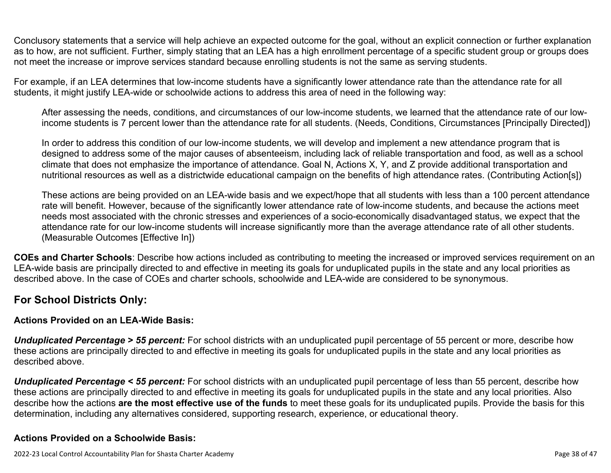Conclusory statements that a service will help achieve an expected outcome for the goal, without an explicit connection or further explanation as to how, are not sufficient. Further, simply stating that an LEA has a high enrollment percentage of a specific student group or groups does not meet the increase or improve services standard because enrolling students is not the same as serving students.

For example, if an LEA determines that low-income students have a significantly lower attendance rate than the attendance rate for all students, it might justify LEA-wide or schoolwide actions to address this area of need in the following way:

After assessing the needs, conditions, and circumstances of our low-income students, we learned that the attendance rate of our lowincome students is 7 percent lower than the attendance rate for all students. (Needs, Conditions, Circumstances [Principally Directed])

In order to address this condition of our low-income students, we will develop and implement a new attendance program that is designed to address some of the major causes of absenteeism, including lack of reliable transportation and food, as well as a school climate that does not emphasize the importance of attendance. Goal N, Actions X, Y, and Z provide additional transportation and nutritional resources as well as a districtwide educational campaign on the benefits of high attendance rates. (Contributing Action[s])

These actions are being provided on an LEA-wide basis and we expect/hope that all students with less than a 100 percent attendance rate will benefit. However, because of the significantly lower attendance rate of low-income students, and because the actions meet needs most associated with the chronic stresses and experiences of a socio-economically disadvantaged status, we expect that the attendance rate for our low-income students will increase significantly more than the average attendance rate of all other students. (Measurable Outcomes [Effective In])

**COEs and Charter Schools**: Describe how actions included as contributing to meeting the increased or improved services requirement on an LEA-wide basis are principally directed to and effective in meeting its goals for unduplicated pupils in the state and any local priorities as described above. In the case of COEs and charter schools, schoolwide and LEA-wide are considered to be synonymous.

### **For School Districts Only:**

### **Actions Provided on an LEA-Wide Basis:**

*Unduplicated Percentage > 55 percent:* For school districts with an unduplicated pupil percentage of 55 percent or more, describe how these actions are principally directed to and effective in meeting its goals for unduplicated pupils in the state and any local priorities as described above.

*Unduplicated Percentage < 55 percent:* For school districts with an unduplicated pupil percentage of less than 55 percent, describe how these actions are principally directed to and effective in meeting its goals for unduplicated pupils in the state and any local priorities. Also describe how the actions **are the most effective use of the funds** to meet these goals for its unduplicated pupils. Provide the basis for this determination, including any alternatives considered, supporting research, experience, or educational theory.

### **Actions Provided on a Schoolwide Basis:**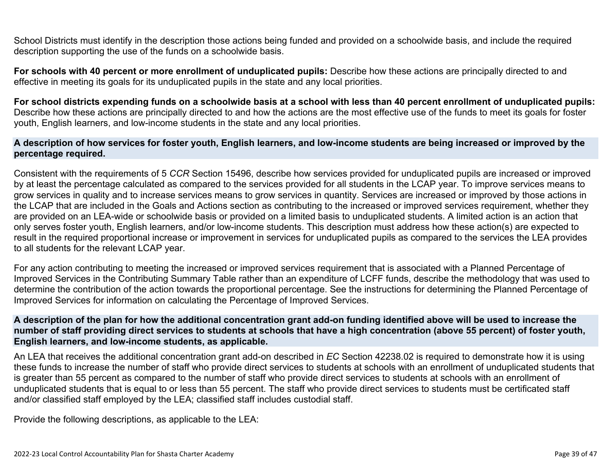School Districts must identify in the description those actions being funded and provided on a schoolwide basis, and include the required description supporting the use of the funds on a schoolwide basis.

**For schools with 40 percent or more enrollment of unduplicated pupils:** Describe how these actions are principally directed to and effective in meeting its goals for its unduplicated pupils in the state and any local priorities.

**For school districts expending funds on a schoolwide basis at a school with less than 40 percent enrollment of unduplicated pupils:** Describe how these actions are principally directed to and how the actions are the most effective use of the funds to meet its goals for foster youth, English learners, and low-income students in the state and any local priorities.

#### **A description of how services for foster youth, English learners, and low-income students are being increased or improved by the percentage required.**

Consistent with the requirements of 5 *CCR* Section 15496, describe how services provided for unduplicated pupils are increased or improved by at least the percentage calculated as compared to the services provided for all students in the LCAP year. To improve services means to grow services in quality and to increase services means to grow services in quantity. Services are increased or improved by those actions in the LCAP that are included in the Goals and Actions section as contributing to the increased or improved services requirement, whether they are provided on an LEA-wide or schoolwide basis or provided on a limited basis to unduplicated students. A limited action is an action that only serves foster youth, English learners, and/or low-income students. This description must address how these action(s) are expected to result in the required proportional increase or improvement in services for unduplicated pupils as compared to the services the LEA provides to all students for the relevant LCAP year.

For any action contributing to meeting the increased or improved services requirement that is associated with a Planned Percentage of Improved Services in the Contributing Summary Table rather than an expenditure of LCFF funds, describe the methodology that was used to determine the contribution of the action towards the proportional percentage. See the instructions for determining the Planned Percentage of Improved Services for information on calculating the Percentage of Improved Services.

#### **A description of the plan for how the additional concentration grant add-on funding identified above will be used to increase the number of staff providing direct services to students at schools that have a high concentration (above 55 percent) of foster youth, English learners, and low-income students, as applicable.**

An LEA that receives the additional concentration grant add-on described in *EC* Section 42238.02 is required to demonstrate how it is using these funds to increase the number of staff who provide direct services to students at schools with an enrollment of unduplicated students that is greater than 55 percent as compared to the number of staff who provide direct services to students at schools with an enrollment of unduplicated students that is equal to or less than 55 percent. The staff who provide direct services to students must be certificated staff and/or classified staff employed by the LEA; classified staff includes custodial staff.

Provide the following descriptions, as applicable to the LEA: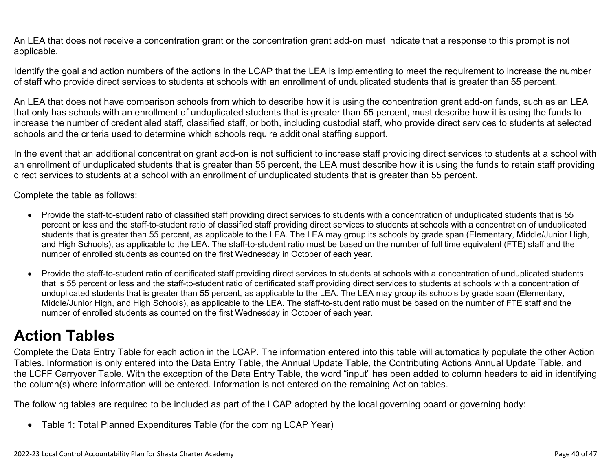An LEA that does not receive a concentration grant or the concentration grant add-on must indicate that a response to this prompt is not applicable.

Identify the goal and action numbers of the actions in the LCAP that the LEA is implementing to meet the requirement to increase the number of staff who provide direct services to students at schools with an enrollment of unduplicated students that is greater than 55 percent.

An LEA that does not have comparison schools from which to describe how it is using the concentration grant add-on funds, such as an LEA that only has schools with an enrollment of unduplicated students that is greater than 55 percent, must describe how it is using the funds to increase the number of credentialed staff, classified staff, or both, including custodial staff, who provide direct services to students at selected schools and the criteria used to determine which schools require additional staffing support.

In the event that an additional concentration grant add-on is not sufficient to increase staff providing direct services to students at a school with an enrollment of unduplicated students that is greater than 55 percent, the LEA must describe how it is using the funds to retain staff providing direct services to students at a school with an enrollment of unduplicated students that is greater than 55 percent.

Complete the table as follows:

- Provide the staff-to-student ratio of classified staff providing direct services to students with a concentration of unduplicated students that is 55 percent or less and the staff-to-student ratio of classified staff providing direct services to students at schools with a concentration of unduplicated students that is greater than 55 percent, as applicable to the LEA. The LEA may group its schools by grade span (Elementary, Middle/Junior High, and High Schools), as applicable to the LEA. The staff-to-student ratio must be based on the number of full time equivalent (FTE) staff and the number of enrolled students as counted on the first Wednesday in October of each year.
- Provide the staff-to-student ratio of certificated staff providing direct services to students at schools with a concentration of unduplicated students that is 55 percent or less and the staff-to-student ratio of certificated staff providing direct services to students at schools with a concentration of unduplicated students that is greater than 55 percent, as applicable to the LEA. The LEA may group its schools by grade span (Elementary, Middle/Junior High, and High Schools), as applicable to the LEA. The staff-to-student ratio must be based on the number of FTE staff and the number of enrolled students as counted on the first Wednesday in October of each year.

# **Action Tables**

Complete the Data Entry Table for each action in the LCAP. The information entered into this table will automatically populate the other Action Tables. Information is only entered into the Data Entry Table, the Annual Update Table, the Contributing Actions Annual Update Table, and the LCFF Carryover Table. With the exception of the Data Entry Table, the word "input" has been added to column headers to aid in identifying the column(s) where information will be entered. Information is not entered on the remaining Action tables.

The following tables are required to be included as part of the LCAP adopted by the local governing board or governing body:

• Table 1: Total Planned Expenditures Table (for the coming LCAP Year)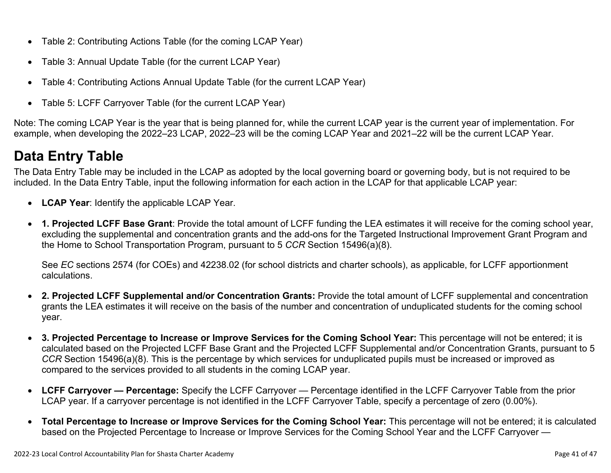- Table 2: Contributing Actions Table (for the coming LCAP Year)
- Table 3: Annual Update Table (for the current LCAP Year)
- Table 4: Contributing Actions Annual Update Table (for the current LCAP Year)
- Table 5: LCFF Carryover Table (for the current LCAP Year)

Note: The coming LCAP Year is the year that is being planned for, while the current LCAP year is the current year of implementation. For example, when developing the 2022–23 LCAP, 2022–23 will be the coming LCAP Year and 2021–22 will be the current LCAP Year.

## **Data Entry Table**

The Data Entry Table may be included in the LCAP as adopted by the local governing board or governing body, but is not required to be included. In the Data Entry Table, input the following information for each action in the LCAP for that applicable LCAP year:

- **LCAP Year**: Identify the applicable LCAP Year.
- **1. Projected LCFF Base Grant**: Provide the total amount of LCFF funding the LEA estimates it will receive for the coming school year, excluding the supplemental and concentration grants and the add-ons for the Targeted Instructional Improvement Grant Program and the Home to School Transportation Program, pursuant to 5 *CCR* Section 15496(a)(8).

See *EC* sections 2574 (for COEs) and 42238.02 (for school districts and charter schools), as applicable, for LCFF apportionment calculations.

- **2. Projected LCFF Supplemental and/or Concentration Grants:** Provide the total amount of LCFF supplemental and concentration grants the LEA estimates it will receive on the basis of the number and concentration of unduplicated students for the coming school year.
- **3. Projected Percentage to Increase or Improve Services for the Coming School Year:** This percentage will not be entered; it is calculated based on the Projected LCFF Base Grant and the Projected LCFF Supplemental and/or Concentration Grants, pursuant to 5 *CCR* Section 15496(a)(8). This is the percentage by which services for unduplicated pupils must be increased or improved as compared to the services provided to all students in the coming LCAP year.
- **LCFF Carryover Percentage:** Specify the LCFF Carryover Percentage identified in the LCFF Carryover Table from the prior LCAP year. If a carryover percentage is not identified in the LCFF Carryover Table, specify a percentage of zero (0.00%).
- **Total Percentage to Increase or Improve Services for the Coming School Year:** This percentage will not be entered; it is calculated based on the Projected Percentage to Increase or Improve Services for the Coming School Year and the LCFF Carryover —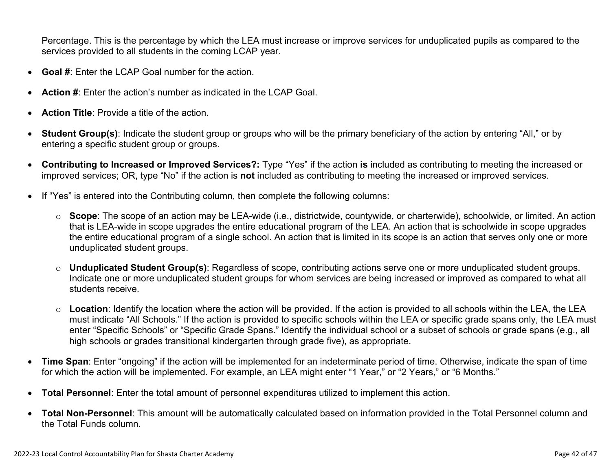Percentage. This is the percentage by which the LEA must increase or improve services for unduplicated pupils as compared to the services provided to all students in the coming LCAP year.

- **Goal #**: Enter the LCAP Goal number for the action.
- **Action #**: Enter the action's number as indicated in the LCAP Goal.
- **Action Title**: Provide a title of the action.
- **Student Group(s)**: Indicate the student group or groups who will be the primary beneficiary of the action by entering "All," or by entering a specific student group or groups.
- **Contributing to Increased or Improved Services?:** Type "Yes" if the action **is** included as contributing to meeting the increased or improved services; OR, type "No" if the action is **not** included as contributing to meeting the increased or improved services.
- If "Yes" is entered into the Contributing column, then complete the following columns:
	- o **Scope**: The scope of an action may be LEA-wide (i.e., districtwide, countywide, or charterwide), schoolwide, or limited. An action that is LEA-wide in scope upgrades the entire educational program of the LEA. An action that is schoolwide in scope upgrades the entire educational program of a single school. An action that is limited in its scope is an action that serves only one or more unduplicated student groups.
	- o **Unduplicated Student Group(s)**: Regardless of scope, contributing actions serve one or more unduplicated student groups. Indicate one or more unduplicated student groups for whom services are being increased or improved as compared to what all students receive.
	- o **Location**: Identify the location where the action will be provided. If the action is provided to all schools within the LEA, the LEA must indicate "All Schools." If the action is provided to specific schools within the LEA or specific grade spans only, the LEA must enter "Specific Schools" or "Specific Grade Spans." Identify the individual school or a subset of schools or grade spans (e.g., all high schools or grades transitional kindergarten through grade five), as appropriate.
- **Time Span**: Enter "ongoing" if the action will be implemented for an indeterminate period of time. Otherwise, indicate the span of time for which the action will be implemented. For example, an LEA might enter "1 Year," or "2 Years," or "6 Months."
- **Total Personnel**: Enter the total amount of personnel expenditures utilized to implement this action.
- **Total Non-Personnel**: This amount will be automatically calculated based on information provided in the Total Personnel column and the Total Funds column.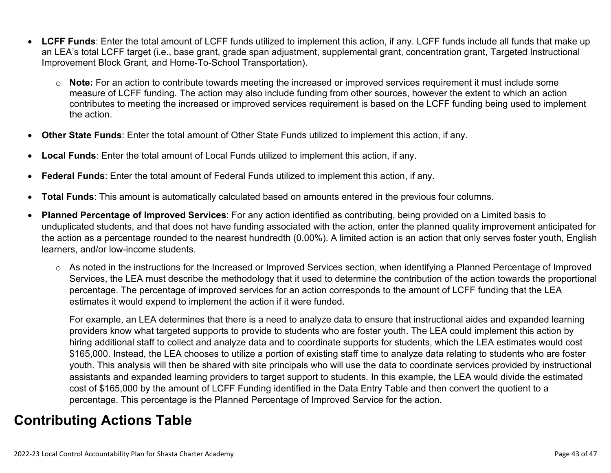- **LCFF Funds**: Enter the total amount of LCFF funds utilized to implement this action, if any. LCFF funds include all funds that make up an LEA's total LCFF target (i.e., base grant, grade span adjustment, supplemental grant, concentration grant, Targeted Instructional Improvement Block Grant, and Home-To-School Transportation).
	- o **Note:** For an action to contribute towards meeting the increased or improved services requirement it must include some measure of LCFF funding. The action may also include funding from other sources, however the extent to which an action contributes to meeting the increased or improved services requirement is based on the LCFF funding being used to implement the action.
- **Other State Funds**: Enter the total amount of Other State Funds utilized to implement this action, if any.
- **Local Funds**: Enter the total amount of Local Funds utilized to implement this action, if any.
- **Federal Funds**: Enter the total amount of Federal Funds utilized to implement this action, if any.
- **Total Funds**: This amount is automatically calculated based on amounts entered in the previous four columns.
- **Planned Percentage of Improved Services**: For any action identified as contributing, being provided on a Limited basis to unduplicated students, and that does not have funding associated with the action, enter the planned quality improvement anticipated for the action as a percentage rounded to the nearest hundredth (0.00%). A limited action is an action that only serves foster youth, English learners, and/or low-income students.
	- o As noted in the instructions for the Increased or Improved Services section, when identifying a Planned Percentage of Improved Services, the LEA must describe the methodology that it used to determine the contribution of the action towards the proportional percentage. The percentage of improved services for an action corresponds to the amount of LCFF funding that the LEA estimates it would expend to implement the action if it were funded.

For example, an LEA determines that there is a need to analyze data to ensure that instructional aides and expanded learning providers know what targeted supports to provide to students who are foster youth. The LEA could implement this action by hiring additional staff to collect and analyze data and to coordinate supports for students, which the LEA estimates would cost \$165,000. Instead, the LEA chooses to utilize a portion of existing staff time to analyze data relating to students who are foster youth. This analysis will then be shared with site principals who will use the data to coordinate services provided by instructional assistants and expanded learning providers to target support to students. In this example, the LEA would divide the estimated cost of \$165,000 by the amount of LCFF Funding identified in the Data Entry Table and then convert the quotient to a percentage. This percentage is the Planned Percentage of Improved Service for the action.

## **Contributing Actions Table**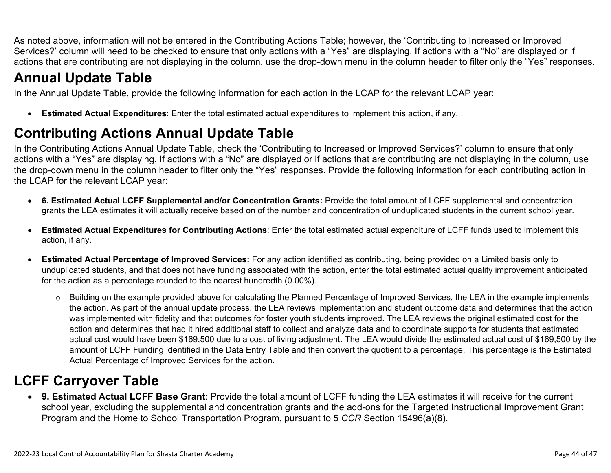As noted above, information will not be entered in the Contributing Actions Table; however, the 'Contributing to Increased or Improved Services?' column will need to be checked to ensure that only actions with a "Yes" are displaying. If actions with a "No" are displayed or if actions that are contributing are not displaying in the column, use the drop-down menu in the column header to filter only the "Yes" responses.

# **Annual Update Table**

In the Annual Update Table, provide the following information for each action in the LCAP for the relevant LCAP year:

• **Estimated Actual Expenditures**: Enter the total estimated actual expenditures to implement this action, if any.

# **Contributing Actions Annual Update Table**

In the Contributing Actions Annual Update Table, check the 'Contributing to Increased or Improved Services?' column to ensure that only actions with a "Yes" are displaying. If actions with a "No" are displayed or if actions that are contributing are not displaying in the column, use the drop-down menu in the column header to filter only the "Yes" responses. Provide the following information for each contributing action in the LCAP for the relevant LCAP year:

- **6. Estimated Actual LCFF Supplemental and/or Concentration Grants:** Provide the total amount of LCFF supplemental and concentration grants the LEA estimates it will actually receive based on of the number and concentration of unduplicated students in the current school year.
- **Estimated Actual Expenditures for Contributing Actions**: Enter the total estimated actual expenditure of LCFF funds used to implement this action, if any.
- **Estimated Actual Percentage of Improved Services:** For any action identified as contributing, being provided on a Limited basis only to unduplicated students, and that does not have funding associated with the action, enter the total estimated actual quality improvement anticipated for the action as a percentage rounded to the nearest hundredth (0.00%).
	- o Building on the example provided above for calculating the Planned Percentage of Improved Services, the LEA in the example implements the action. As part of the annual update process, the LEA reviews implementation and student outcome data and determines that the action was implemented with fidelity and that outcomes for foster youth students improved. The LEA reviews the original estimated cost for the action and determines that had it hired additional staff to collect and analyze data and to coordinate supports for students that estimated actual cost would have been \$169,500 due to a cost of living adjustment. The LEA would divide the estimated actual cost of \$169,500 by the amount of LCFF Funding identified in the Data Entry Table and then convert the quotient to a percentage. This percentage is the Estimated Actual Percentage of Improved Services for the action.

## **LCFF Carryover Table**

• **9. Estimated Actual LCFF Base Grant**: Provide the total amount of LCFF funding the LEA estimates it will receive for the current school year, excluding the supplemental and concentration grants and the add-ons for the Targeted Instructional Improvement Grant Program and the Home to School Transportation Program, pursuant to 5 *CCR* Section 15496(a)(8).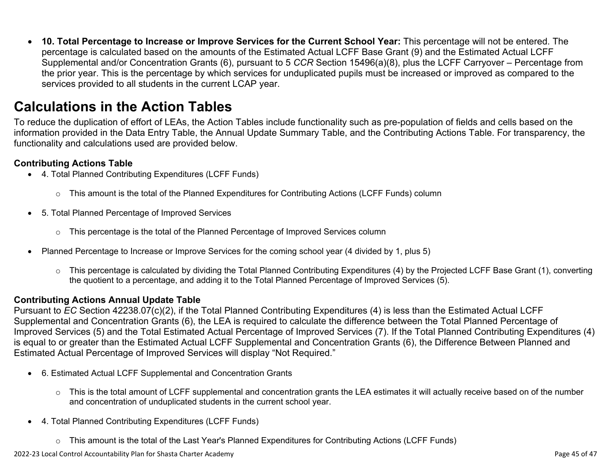• **10. Total Percentage to Increase or Improve Services for the Current School Year:** This percentage will not be entered. The percentage is calculated based on the amounts of the Estimated Actual LCFF Base Grant (9) and the Estimated Actual LCFF Supplemental and/or Concentration Grants (6), pursuant to 5 *CCR* Section 15496(a)(8), plus the LCFF Carryover – Percentage from the prior year. This is the percentage by which services for unduplicated pupils must be increased or improved as compared to the services provided to all students in the current LCAP year.

### **Calculations in the Action Tables**

To reduce the duplication of effort of LEAs, the Action Tables include functionality such as pre-population of fields and cells based on the information provided in the Data Entry Table, the Annual Update Summary Table, and the Contributing Actions Table. For transparency, the functionality and calculations used are provided below.

#### **Contributing Actions Table**

- 4. Total Planned Contributing Expenditures (LCFF Funds)
	- $\circ$  This amount is the total of the Planned Expenditures for Contributing Actions (LCFF Funds) column
- 5. Total Planned Percentage of Improved Services
	- $\circ$  This percentage is the total of the Planned Percentage of Improved Services column
- Planned Percentage to Increase or Improve Services for the coming school year (4 divided by 1, plus 5)
	- o This percentage is calculated by dividing the Total Planned Contributing Expenditures (4) by the Projected LCFF Base Grant (1), converting the quotient to a percentage, and adding it to the Total Planned Percentage of Improved Services (5).

### **Contributing Actions Annual Update Table**

Pursuant to *EC* Section 42238.07(c)(2), if the Total Planned Contributing Expenditures (4) is less than the Estimated Actual LCFF Supplemental and Concentration Grants (6), the LEA is required to calculate the difference between the Total Planned Percentage of Improved Services (5) and the Total Estimated Actual Percentage of Improved Services (7). If the Total Planned Contributing Expenditures (4) is equal to or greater than the Estimated Actual LCFF Supplemental and Concentration Grants (6), the Difference Between Planned and Estimated Actual Percentage of Improved Services will display "Not Required."

- 6. Estimated Actual LCFF Supplemental and Concentration Grants
	- o This is the total amount of LCFF supplemental and concentration grants the LEA estimates it will actually receive based on of the number and concentration of unduplicated students in the current school year.
- 4. Total Planned Contributing Expenditures (LCFF Funds)
	- $\circ$  This amount is the total of the Last Year's Planned Expenditures for Contributing Actions (LCFF Funds)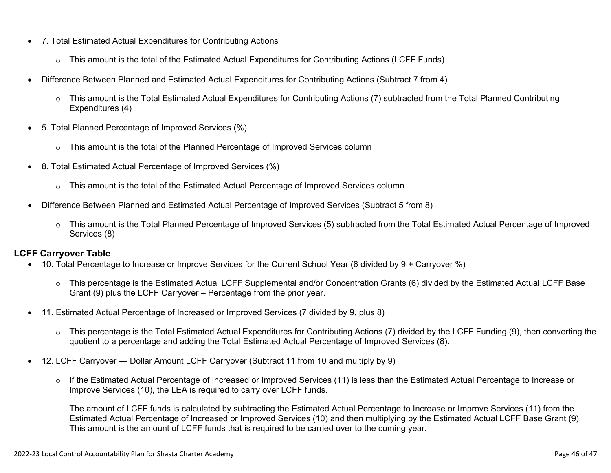- 7. Total Estimated Actual Expenditures for Contributing Actions
	- o This amount is the total of the Estimated Actual Expenditures for Contributing Actions (LCFF Funds)
- Difference Between Planned and Estimated Actual Expenditures for Contributing Actions (Subtract 7 from 4)
	- $\circ$  This amount is the Total Estimated Actual Expenditures for Contributing Actions (7) subtracted from the Total Planned Contributing Expenditures (4)
- 5. Total Planned Percentage of Improved Services (%)
	- $\circ$  This amount is the total of the Planned Percentage of Improved Services column
- 8. Total Estimated Actual Percentage of Improved Services (%)
	- o This amount is the total of the Estimated Actual Percentage of Improved Services column
- Difference Between Planned and Estimated Actual Percentage of Improved Services (Subtract 5 from 8)
	- o This amount is the Total Planned Percentage of Improved Services (5) subtracted from the Total Estimated Actual Percentage of Improved Services (8)

### **LCFF Carryover Table**

- 10. Total Percentage to Increase or Improve Services for the Current School Year (6 divided by 9 + Carryover %)
	- $\circ$  This percentage is the Estimated Actual LCFF Supplemental and/or Concentration Grants (6) divided by the Estimated Actual LCFF Base Grant (9) plus the LCFF Carryover – Percentage from the prior year.
- 11. Estimated Actual Percentage of Increased or Improved Services (7 divided by 9, plus 8)
	- o This percentage is the Total Estimated Actual Expenditures for Contributing Actions (7) divided by the LCFF Funding (9), then converting the quotient to a percentage and adding the Total Estimated Actual Percentage of Improved Services (8).
- 12. LCFF Carryover Dollar Amount LCFF Carryover (Subtract 11 from 10 and multiply by 9)
	- $\circ$  If the Estimated Actual Percentage of Increased or Improved Services (11) is less than the Estimated Actual Percentage to Increase or Improve Services (10), the LEA is required to carry over LCFF funds.

The amount of LCFF funds is calculated by subtracting the Estimated Actual Percentage to Increase or Improve Services (11) from the Estimated Actual Percentage of Increased or Improved Services (10) and then multiplying by the Estimated Actual LCFF Base Grant (9). This amount is the amount of LCFF funds that is required to be carried over to the coming year.